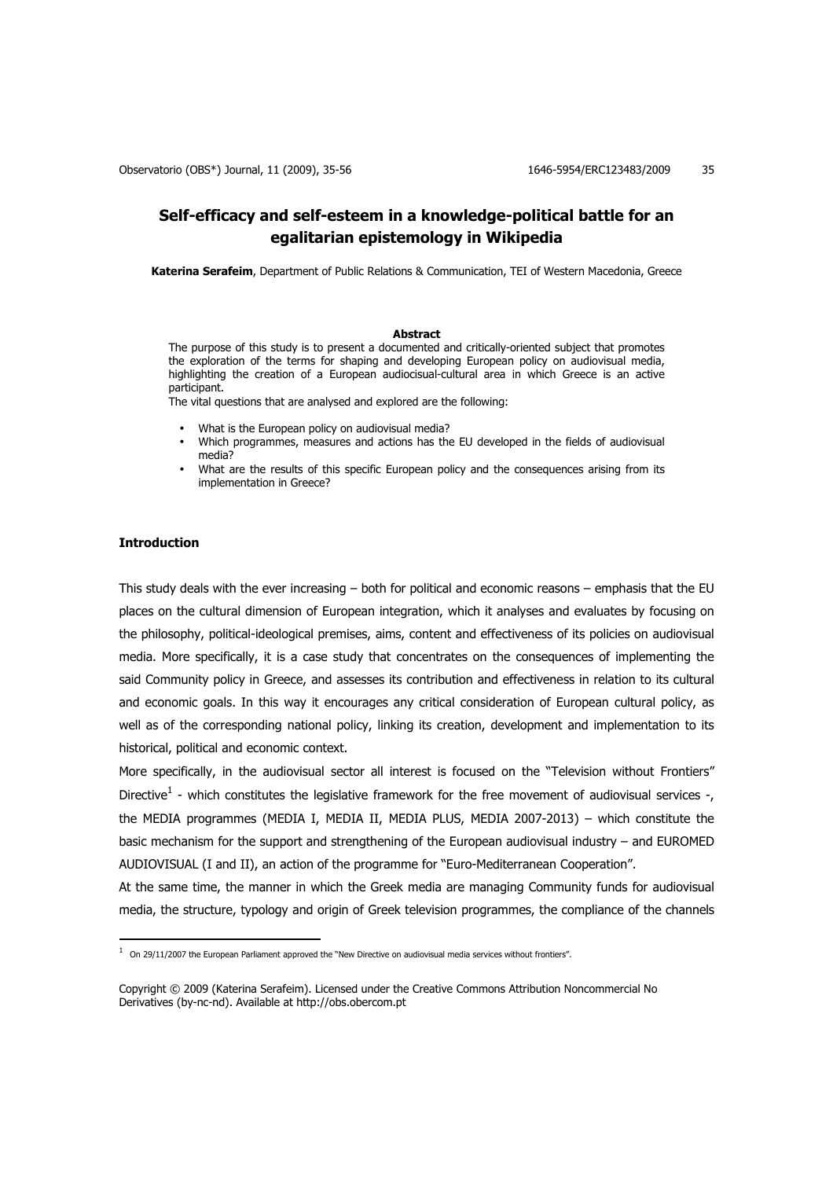# **Self-efficacy and self-esteem in a knowledge-political battle for an egalitarian epistemology in Wikipedia**

**Katerina Serafeim**, Department of Public Relations & Communication, TEI of Western Macedonia, Greece

### **Abstract**

The purpose of this study is to present a documented and critically-oriented subject that promotes the exploration of the terms for shaping and developing European policy on audiovisual media, highlighting the creation of a European audiocisual-cultural area in which Greece is an active participant.

The vital questions that are analysed and explored are the following:

- What is the European policy on audiovisual media?
- Which programmes, measures and actions has the EU developed in the fields of audiovisual media?
- What are the results of this specific European policy and the consequences arising from its implementation in Greece?

# **Introduction**

 $\overline{a}$ 

This study deals with the ever increasing – both for political and economic reasons – emphasis that the EU places on the cultural dimension of European integration, which it analyses and evaluates by focusing on the philosophy, political-ideological premises, aims, content and effectiveness of its policies on audiovisual media. More specifically, it is a case study that concentrates on the consequences of implementing the said Community policy in Greece, and assesses its contribution and effectiveness in relation to its cultural and economic goals. In this way it encourages any critical consideration of European cultural policy, as well as of the corresponding national policy, linking its creation, development and implementation to its historical, political and economic context.

More specifically, in the audiovisual sector all interest is focused on the "Television without Frontiers" Directive<sup>1</sup> - which constitutes the legislative framework for the free movement of audiovisual services -, the MEDIA programmes (MEDIA I, MEDIA II, MEDIA PLUS, MEDIA 2007-2013) – which constitute the basic mechanism for the support and strengthening of the European audiovisual industry – and EUROMED AUDIOVISUAL (Ι and ΙΙ), an action of the programme for "Euro-Mediterranean Cooperation".

At the same time, the manner in which the Greek media are managing Community funds for audiovisual media, the structure, typology and origin of Greek television programmes, the compliance of the channels

 $1$  On 29/11/2007 the European Parliament approved the "New Directive on audiovisual media services without frontiers".

Copyright © 2009 (Katerina Serafeim). Licensed under the Creative Commons Attribution Noncommercial No Derivatives (by-nc-nd). Available at http://obs.obercom.pt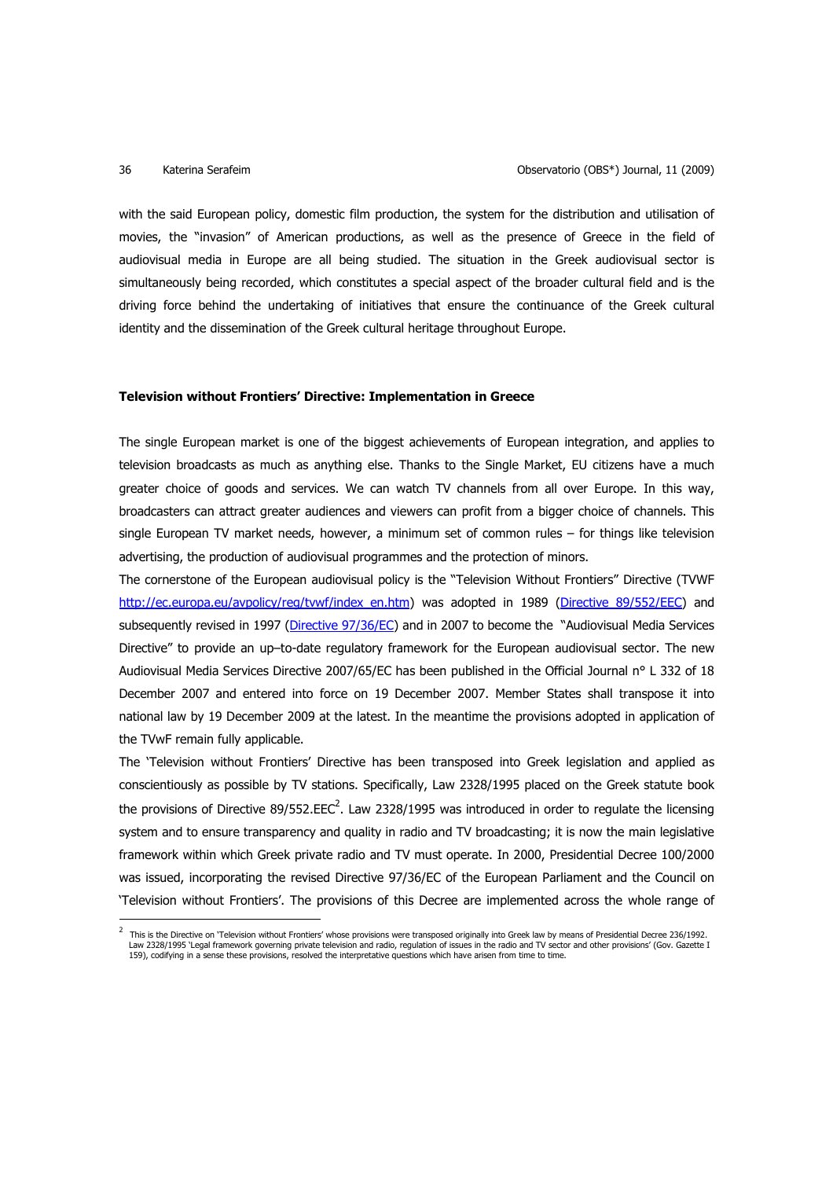with the said European policy, domestic film production, the system for the distribution and utilisation of movies, the "invasion" of American productions, as well as the presence of Greece in the field of audiovisual media in Europe are all being studied. The situation in the Greek audiovisual sector is simultaneously being recorded, which constitutes a special aspect of the broader cultural field and is the driving force behind the undertaking of initiatives that ensure the continuance of the Greek cultural identity and the dissemination of the Greek cultural heritage throughout Europe.

### **Television without Frontiers' Directive: Implementation in Greece**

The single European market is one of the biggest achievements of European integration, and applies to television broadcasts as much as anything else. Thanks to the Single Market, EU citizens have a much greater choice of goods and services. We can watch TV channels from all over Europe. In this way, broadcasters can attract greater audiences and viewers can profit from a bigger choice of channels. This single European TV market needs, however, a minimum set of common rules – for things like television advertising, the production of audiovisual programmes and the protection of minors.

The cornerstone of the European audiovisual policy is the "Television Without Frontiers" Directive (TVWF http://ec.europa.eu/avpolicy/reg/tvwf/index\_en.htm) was adopted in 1989 (Directive 89/552/EEC) and subsequently revised in 1997 (Directive 97/36/EC) and in 2007 to become the "Audiovisual Media Services Directive" to provide an up–to-date regulatory framework for the European audiovisual sector. The new Audiovisual Media Services Directive 2007/65/EC has been published in the Official Journal n° L 332 of 18 December 2007 and entered into force on 19 December 2007. Member States shall transpose it into national law by 19 December 2009 at the latest. In the meantime the provisions adopted in application of the TVwF remain fully applicable.

The 'Television without Frontiers' Directive has been transposed into Greek legislation and applied as conscientiously as possible by TV stations. Specifically, Law 2328/1995 placed on the Greek statute book the provisions of Directive 89/552.EEC<sup>2</sup>. Law 2328/1995 was introduced in order to regulate the licensing system and to ensure transparency and quality in radio and TV broadcasting; it is now the main legislative framework within which Greek private radio and TV must operate. In 2000, Presidential Decree 100/2000 was issued, incorporating the revised Directive 97/36/EC of the European Parliament and the Council on 'Television without Frontiers'. The provisions of this Decree are implemented across the whole range of l

<sup>2</sup> This is the Directive on 'Television without Frontiers' whose provisions were transposed originally into Greek law by means of Presidential Decree 236/1992. Law 2328/1995 `Legal framework governing private television and radio, regulation of issues in the radio and TV sector and other provisions' (Gov. Gazette I<br>159), codifying in a sense these provisions, resolved the interpr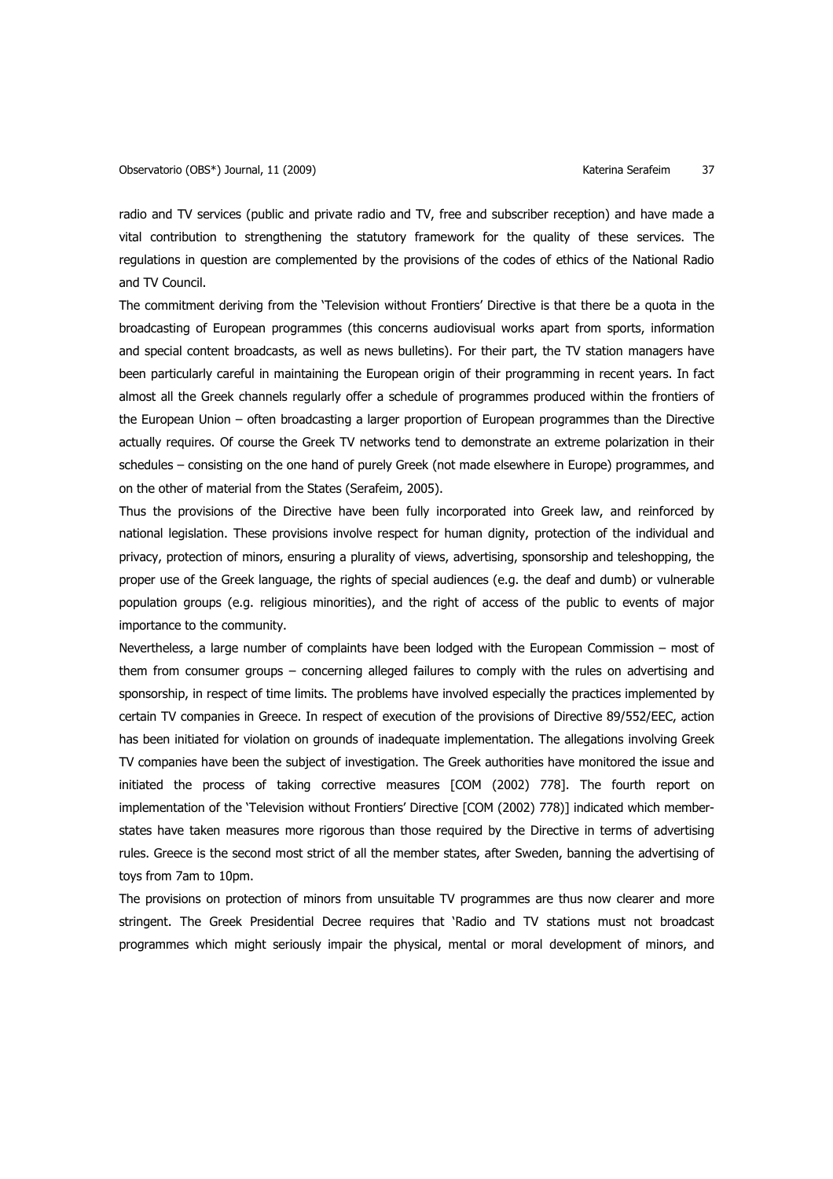radio and TV services (public and private radio and TV, free and subscriber reception) and have made a vital contribution to strengthening the statutory framework for the quality of these services. The regulations in question are complemented by the provisions of the codes of ethics of the National Radio and TV Council.

The commitment deriving from the 'Television without Frontiers' Directive is that there be a quota in the broadcasting of European programmes (this concerns audiovisual works apart from sports, information and special content broadcasts, as well as news bulletins). For their part, the TV station managers have been particularly careful in maintaining the European origin of their programming in recent years. In fact almost all the Greek channels regularly offer a schedule of programmes produced within the frontiers of the European Union – often broadcasting a larger proportion of European programmes than the Directive actually requires. Of course the Greek TV networks tend to demonstrate an extreme polarization in their schedules – consisting on the one hand of purely Greek (not made elsewhere in Europe) programmes, and on the other of material from the States (Serafeim, 2005).

Thus the provisions of the Directive have been fully incorporated into Greek law, and reinforced by national legislation. These provisions involve respect for human dignity, protection of the individual and privacy, protection of minors, ensuring a plurality of views, advertising, sponsorship and teleshopping, the proper use of the Greek language, the rights of special audiences (e.g. the deaf and dumb) or vulnerable population groups (e.g. religious minorities), and the right of access of the public to events of major importance to the community.

Nevertheless, a large number of complaints have been lodged with the European Commission – most of them from consumer groups – concerning alleged failures to comply with the rules on advertising and sponsorship, in respect of time limits. The problems have involved especially the practices implemented by certain TV companies in Greece. In respect of execution of the provisions of Directive 89/552/EEC, action has been initiated for violation on grounds of inadequate implementation. The allegations involving Greek TV companies have been the subject of investigation. The Greek authorities have monitored the issue and initiated the process of taking corrective measures [COM (2002) 778]. The fourth report on implementation of the 'Television without Frontiers' Directive [COM (2002) 778)] indicated which memberstates have taken measures more rigorous than those required by the Directive in terms of advertising rules. Greece is the second most strict of all the member states, after Sweden, banning the advertising of toys from 7am to 10pm.

The provisions on protection of minors from unsuitable TV programmes are thus now clearer and more stringent. The Greek Presidential Decree requires that 'Radio and TV stations must not broadcast programmes which might seriously impair the physical, mental or moral development of minors, and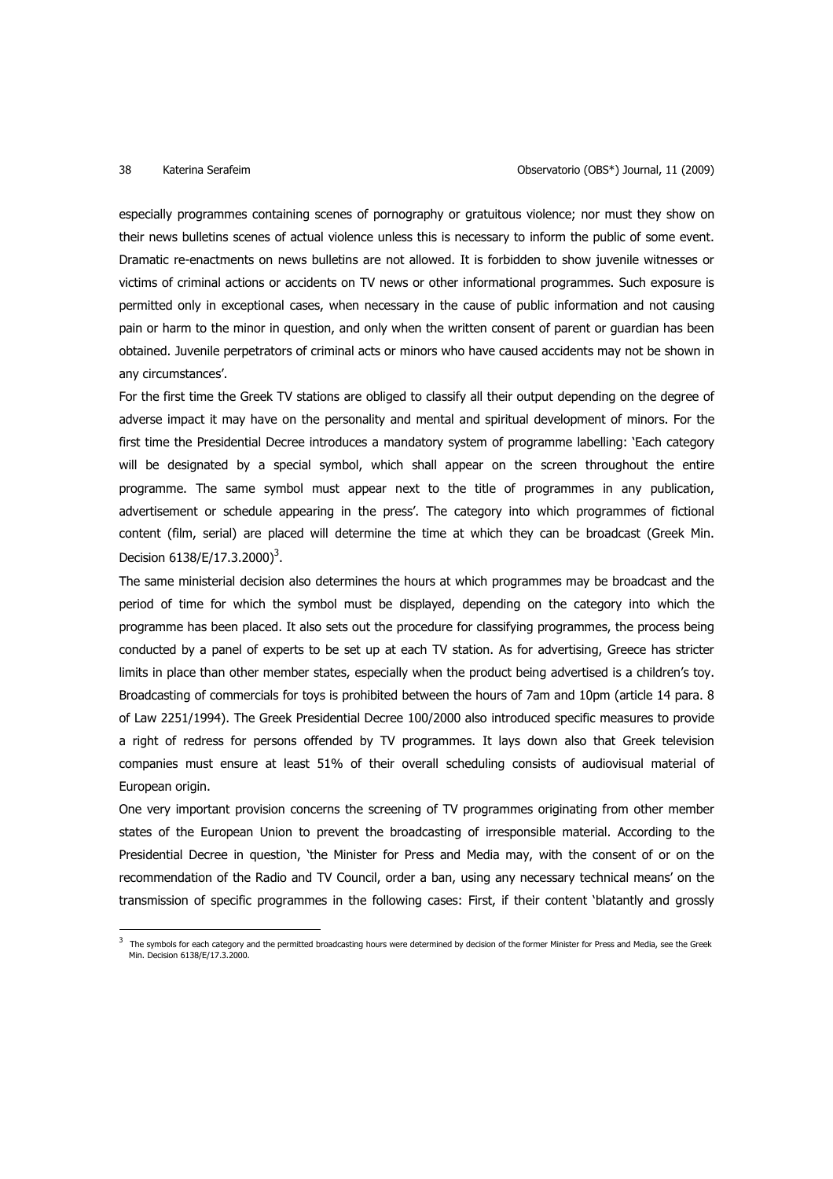$\overline{a}$ 

especially programmes containing scenes of pornography or gratuitous violence; nor must they show on their news bulletins scenes of actual violence unless this is necessary to inform the public of some event. Dramatic re-enactments on news bulletins are not allowed. It is forbidden to show juvenile witnesses or victims of criminal actions or accidents on TV news or other informational programmes. Such exposure is permitted only in exceptional cases, when necessary in the cause of public information and not causing pain or harm to the minor in question, and only when the written consent of parent or guardian has been obtained. Juvenile perpetrators of criminal acts or minors who have caused accidents may not be shown in any circumstances'.

For the first time the Greek TV stations are obliged to classify all their output depending on the degree of adverse impact it may have on the personality and mental and spiritual development of minors. For the first time the Presidential Decree introduces a mandatory system of programme labelling: 'Each category will be designated by a special symbol, which shall appear on the screen throughout the entire programme. The same symbol must appear next to the title of programmes in any publication, advertisement or schedule appearing in the press'. The category into which programmes of fictional content (film, serial) are placed will determine the time at which they can be broadcast (Greek Min. Decision  $6138/E/17.3.2000)^3$ .

The same ministerial decision also determines the hours at which programmes may be broadcast and the period of time for which the symbol must be displayed, depending on the category into which the programme has been placed. It also sets out the procedure for classifying programmes, the process being conducted by a panel of experts to be set up at each TV station. As for advertising, Greece has stricter limits in place than other member states, especially when the product being advertised is a children's toy. Broadcasting of commercials for toys is prohibited between the hours of 7am and 10pm (article 14 para. 8 of Law 2251/1994). The Greek Presidential Decree 100/2000 also introduced specific measures to provide a right of redress for persons offended by TV programmes. It lays down also that Greek television companies must ensure at least 51% of their overall scheduling consists of audiovisual material of European origin.

One very important provision concerns the screening of TV programmes originating from other member states of the European Union to prevent the broadcasting of irresponsible material. According to the Presidential Decree in question, 'the Minister for Press and Media may, with the consent of or on the recommendation of the Radio and TV Council, order a ban, using any necessary technical means' on the transmission of specific programmes in the following cases: First, if their content 'blatantly and grossly

<sup>3</sup> The symbols for each category and the permitted broadcasting hours were determined by decision of the former Minister for Press and Media, see the Greek Min. Decision 6138/E/17.3.2000.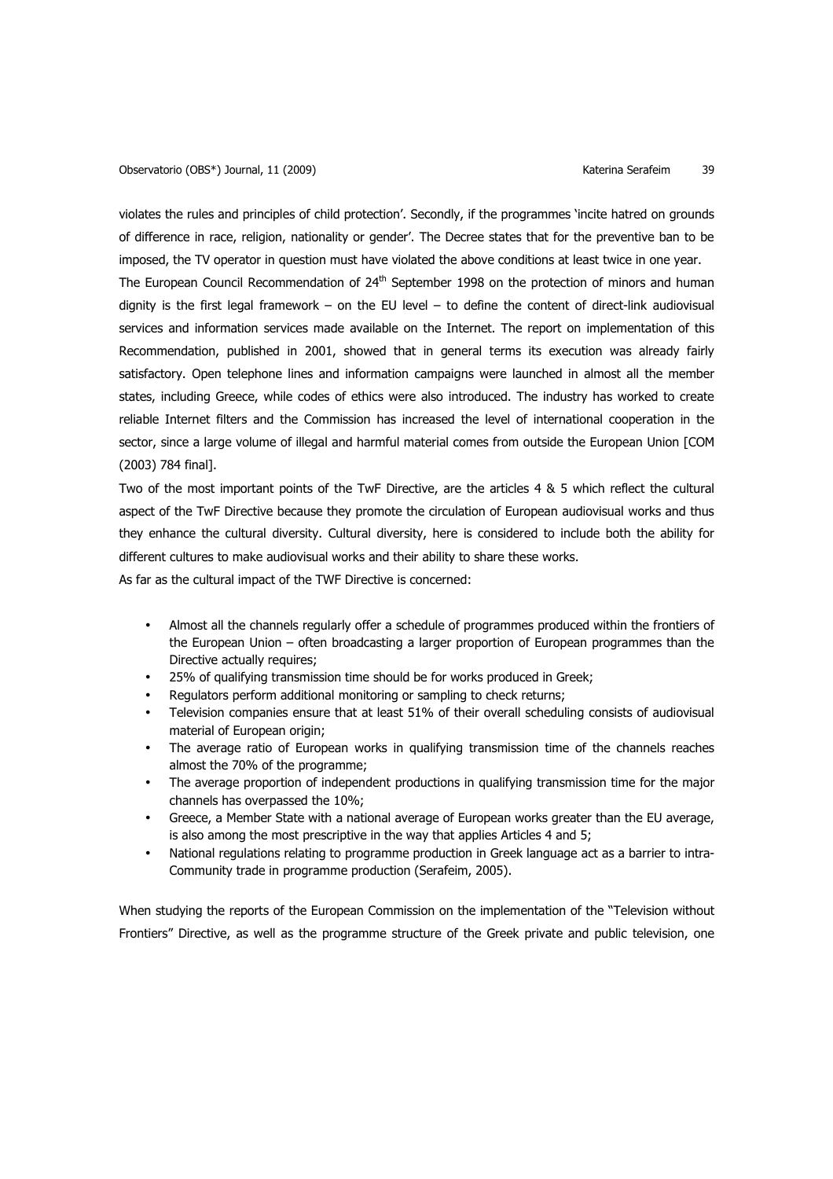violates the rules and principles of child protection'. Secondly, if the programmes 'incite hatred on grounds of difference in race, religion, nationality or gender'. The Decree states that for the preventive ban to be imposed, the TV operator in question must have violated the above conditions at least twice in one year.

The European Council Recommendation of  $24<sup>th</sup>$  September 1998 on the protection of minors and human dignity is the first legal framework – on the EU level – to define the content of direct-link audiovisual services and information services made available on the Internet. The report on implementation of this Recommendation, published in 2001, showed that in general terms its execution was already fairly satisfactory. Open telephone lines and information campaigns were launched in almost all the member states, including Greece, while codes of ethics were also introduced. The industry has worked to create reliable Internet filters and the Commission has increased the level of international cooperation in the sector, since a large volume of illegal and harmful material comes from outside the European Union [COM (2003) 784 final].

Two of the most important points of the TwF Directive, are the articles 4 & 5 which reflect the cultural aspect of the TwF Directive because they promote the circulation of European audiovisual works and thus they enhance the cultural diversity. Cultural diversity, here is considered to include both the ability for different cultures to make audiovisual works and their ability to share these works.

As far as the cultural impact of the TWF Directive is concerned:

- Almost all the channels regularly offer a schedule of programmes produced within the frontiers of the European Union – often broadcasting a larger proportion of European programmes than the Directive actually requires;
- 25% of qualifying transmission time should be for works produced in Greek;
- Regulators perform additional monitoring or sampling to check returns;
- Television companies ensure that at least 51% of their overall scheduling consists of audiovisual material of European origin;
- The average ratio of European works in qualifying transmission time of the channels reaches almost the 70% of the programme;
- The average proportion of independent productions in qualifying transmission time for the major channels has overpassed the 10%;
- Greece, a Member State with a national average of European works greater than the EU average, is also among the most prescriptive in the way that applies Articles 4 and 5;
- National regulations relating to programme production in Greek language act as a barrier to intra-Community trade in programme production (Serafeim, 2005).

When studying the reports of the European Commission on the implementation of the "Television without Frontiers" Directive, as well as the programme structure of the Greek private and public television, one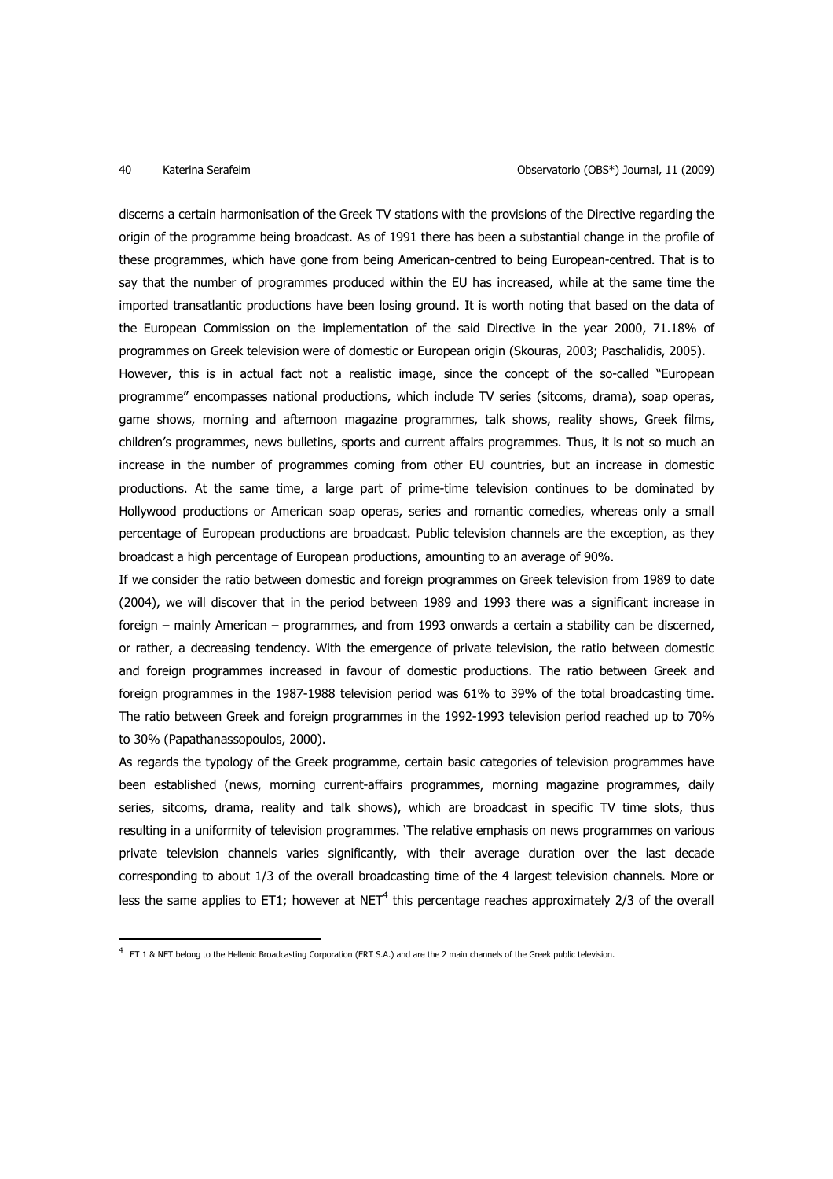$\overline{a}$ 

discerns a certain harmonisation of the Greek TV stations with the provisions of the Directive regarding the origin of the programme being broadcast. As of 1991 there has been a substantial change in the profile of these programmes, which have gone from being American-centred to being European-centred. That is to say that the number of programmes produced within the EU has increased, while at the same time the imported transatlantic productions have been losing ground. It is worth noting that based on the data of the European Commission on the implementation of the said Directive in the year 2000, 71.18% of programmes on Greek television were of domestic or European origin (Skouras, 2003; Paschalidis, 2005). However, this is in actual fact not a realistic image, since the concept of the so-called "European programme" encompasses national productions, which include TV series (sitcoms, drama), soap operas, game shows, morning and afternoon magazine programmes, talk shows, reality shows, Greek films, children's programmes, news bulletins, sports and current affairs programmes. Thus, it is not so much an increase in the number of programmes coming from other EU countries, but an increase in domestic productions. At the same time, a large part of prime-time television continues to be dominated by Hollywood productions or American soap operas, series and romantic comedies, whereas only a small percentage of European productions are broadcast. Public television channels are the exception, as they broadcast a high percentage of European productions, amounting to an average of 90%.

If we consider the ratio between domestic and foreign programmes on Greek television from 1989 to date (2004), we will discover that in the period between 1989 and 1993 there was a significant increase in foreign – mainly American – programmes, and from 1993 onwards a certain a stability can be discerned, or rather, a decreasing tendency. With the emergence of private television, the ratio between domestic and foreign programmes increased in favour of domestic productions. The ratio between Greek and foreign programmes in the 1987-1988 television period was 61% to 39% of the total broadcasting time. The ratio between Greek and foreign programmes in the 1992-1993 television period reached up to 70% to 30% (Papathanassopoulos, 2000).

As regards the typology of the Greek programme, certain basic categories of television programmes have been established (news, morning current-affairs programmes, morning magazine programmes, daily series, sitcoms, drama, reality and talk shows), which are broadcast in specific TV time slots, thus resulting in a uniformity of television programmes. 'The relative emphasis on news programmes on various private television channels varies significantly, with their average duration over the last decade corresponding to about 1/3 of the overall broadcasting time of the 4 largest television channels. More or less the same applies to ET1; however at NET<sup>4</sup> this percentage reaches approximately 2/3 of the overall

<sup>&</sup>lt;sup>4</sup> ET 1 & NET belong to the Hellenic Broadcasting Corporation (ERT S.A.) and are the 2 main channels of the Greek public television.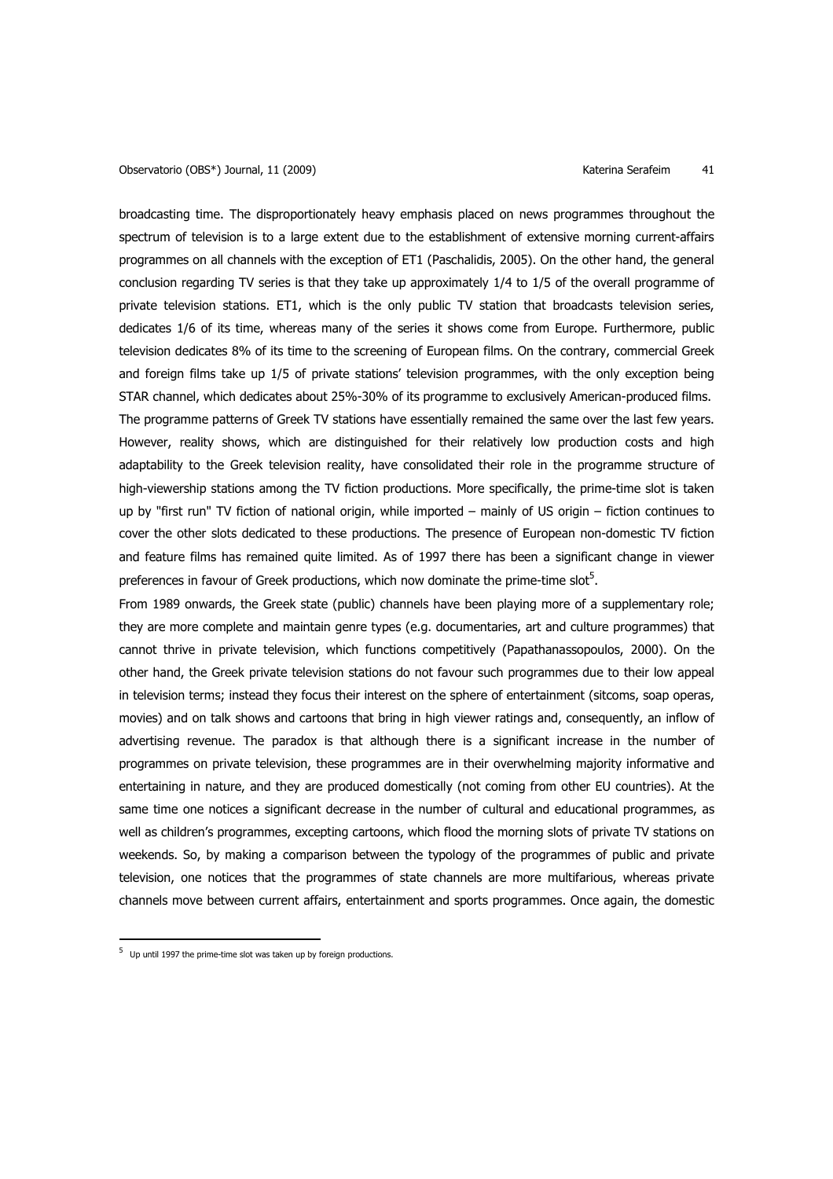broadcasting time. The disproportionately heavy emphasis placed on news programmes throughout the spectrum of television is to a large extent due to the establishment of extensive morning current-affairs programmes on all channels with the exception of ET1 (Paschalidis, 2005). On the other hand, the general conclusion regarding TV series is that they take up approximately 1/4 to 1/5 of the overall programme of private television stations. ET1, which is the only public TV station that broadcasts television series, dedicates 1/6 of its time, whereas many of the series it shows come from Europe. Furthermore, public television dedicates 8% of its time to the screening of European films. On the contrary, commercial Greek and foreign films take up 1/5 of private stations' television programmes, with the only exception being STAR channel, which dedicates about 25%-30% of its programme to exclusively American-produced films. The programme patterns of Greek TV stations have essentially remained the same over the last few years. However, reality shows, which are distinguished for their relatively low production costs and high adaptability to the Greek television reality, have consolidated their role in the programme structure of high-viewership stations among the TV fiction productions. More specifically, the prime-time slot is taken up by "first run" TV fiction of national origin, while imported – mainly of US origin – fiction continues to cover the other slots dedicated to these productions. The presence of European non-domestic TV fiction and feature films has remained quite limited. As of 1997 there has been a significant change in viewer preferences in favour of Greek productions, which now dominate the prime-time slot<sup>5</sup>.

From 1989 onwards, the Greek state (public) channels have been playing more of a supplementary role; they are more complete and maintain genre types (e.g. documentaries, art and culture programmes) that cannot thrive in private television, which functions competitively (Papathanassopoulos, 2000). On the other hand, the Greek private television stations do not favour such programmes due to their low appeal in television terms; instead they focus their interest on the sphere of entertainment (sitcoms, soap operas, movies) and on talk shows and cartoons that bring in high viewer ratings and, consequently, an inflow of advertising revenue. The paradox is that although there is a significant increase in the number of programmes on private television, these programmes are in their overwhelming majority informative and entertaining in nature, and they are produced domestically (not coming from other EU countries). At the same time one notices a significant decrease in the number of cultural and educational programmes, as well as children's programmes, excepting cartoons, which flood the morning slots of private TV stations on weekends. So, by making a comparison between the typology of the programmes of public and private television, one notices that the programmes of state channels are more multifarious, whereas private channels move between current affairs, entertainment and sports programmes. Once again, the domestic

 $\overline{a}$ 

<sup>&</sup>lt;sup>5</sup> Up until 1997 the prime-time slot was taken up by foreign productions.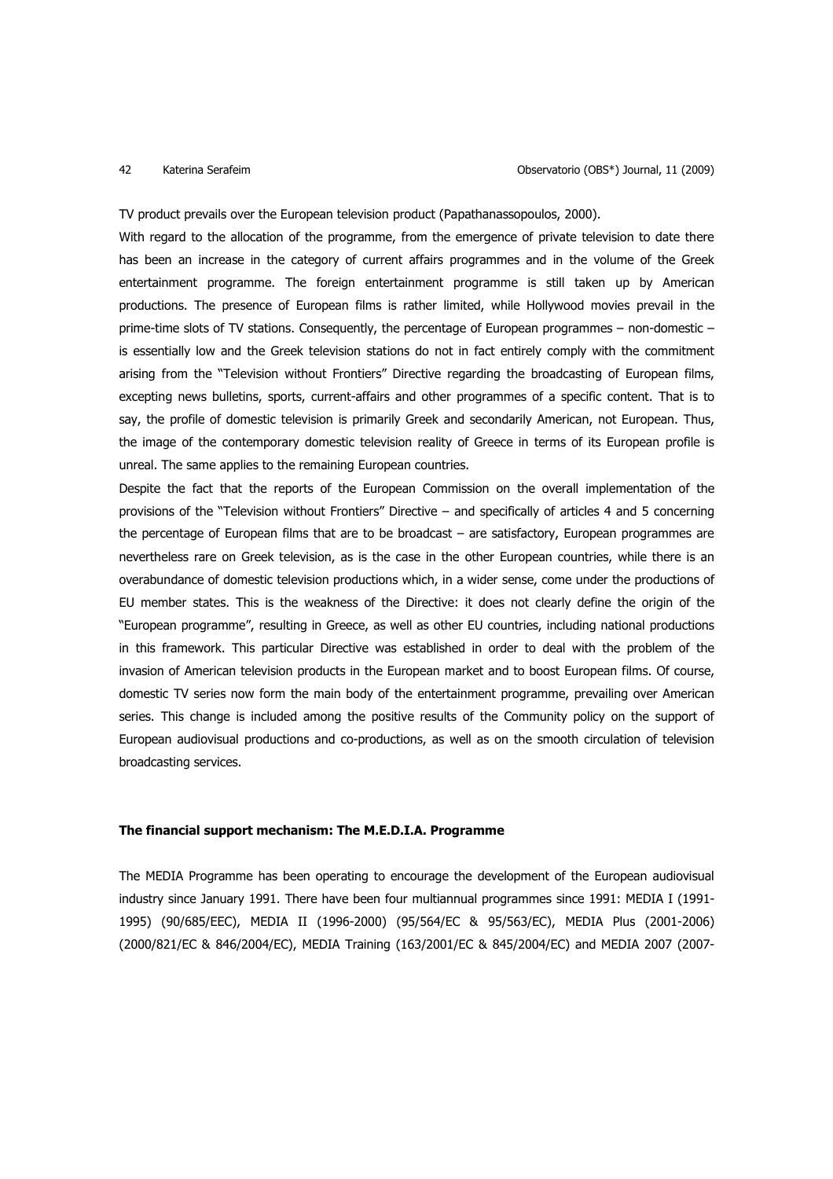TV product prevails over the European television product (Papathanassopoulos, 2000).

With regard to the allocation of the programme, from the emergence of private television to date there has been an increase in the category of current affairs programmes and in the volume of the Greek entertainment programme. The foreign entertainment programme is still taken up by American productions. The presence of European films is rather limited, while Hollywood movies prevail in the prime-time slots of TV stations. Consequently, the percentage of European programmes – non-domestic – is essentially low and the Greek television stations do not in fact entirely comply with the commitment arising from the "Television without Frontiers" Directive regarding the broadcasting of European films, excepting news bulletins, sports, current-affairs and other programmes of a specific content. That is to say, the profile of domestic television is primarily Greek and secondarily American, not European. Thus, the image of the contemporary domestic television reality of Greece in terms of its European profile is unreal. The same applies to the remaining European countries.

Despite the fact that the reports of the European Commission on the overall implementation of the provisions of the "Television without Frontiers" Directive – and specifically of articles 4 and 5 concerning the percentage of European films that are to be broadcast – are satisfactory, European programmes are nevertheless rare on Greek television, as is the case in the other European countries, while there is an overabundance of domestic television productions which, in a wider sense, come under the productions of EU member states. This is the weakness of the Directive: it does not clearly define the origin of the "European programme", resulting in Greece, as well as other EU countries, including national productions in this framework. This particular Directive was established in order to deal with the problem of the invasion of American television products in the European market and to boost European films. Of course, domestic TV series now form the main body of the entertainment programme, prevailing over American series. This change is included among the positive results of the Community policy on the support of European audiovisual productions and co-productions, as well as on the smooth circulation of television broadcasting services.

# **The financial support mechanism: The M.E.D.I.A. Programme**

The MEDIA Programme has been operating to encourage the development of the European audiovisual industry since January 1991. There have been four multiannual programmes since 1991: MEDIA I (1991- 1995) (90/685/EEC), MEDIA II (1996-2000) (95/564/EC & 95/563/EC), MEDIA Plus (2001-2006) (2000/821/EC & 846/2004/EC), MEDIA Training (163/2001/EC & 845/2004/EC) and MEDIA 2007 (2007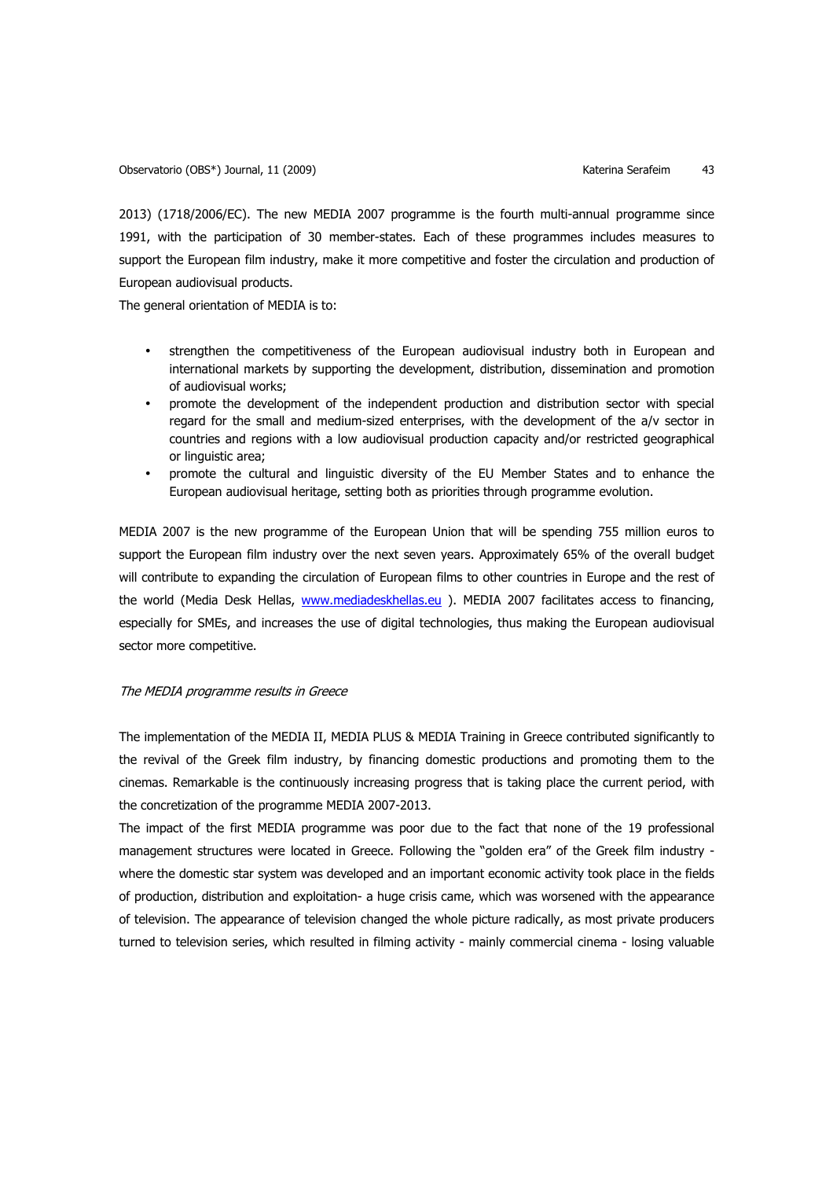2013) (1718/2006/EC). The new MEDIA 2007 programme is the fourth multi-annual programme since 1991, with the participation of 30 member-states. Each of these programmes includes measures to support the European film industry, make it more competitive and foster the circulation and production of European audiovisual products.

The general orientation of MEDIA is to:

- strengthen the competitiveness of the European audiovisual industry both in European and international markets by supporting the development, distribution, dissemination and promotion of audiovisual works;
- promote the development of the independent production and distribution sector with special regard for the small and medium-sized enterprises, with the development of the a/v sector in countries and regions with a low audiovisual production capacity and/or restricted geographical or linguistic area;
- promote the cultural and linguistic diversity of the EU Member States and to enhance the European audiovisual heritage, setting both as priorities through programme evolution.

MEDIA 2007 is the new programme of the European Union that will be spending 755 million euros to support the European film industry over the next seven years. Approximately 65% of the overall budget will contribute to expanding the circulation of European films to other countries in Europe and the rest of the world (Media Desk Hellas, www.mediadeskhellas.eu ). MEDIA 2007 facilitates access to financing, especially for SMEs, and increases the use of digital technologies, thus making the European audiovisual sector more competitive.

### The MEDIA programme results in Greece

The implementation of the MEDIA II, MEDIA PLUS & MEDIA Training in Greece contributed significantly to the revival of the Greek film industry, by financing domestic productions and promoting them to the cinemas. Remarkable is the continuously increasing progress that is taking place the current period, with the concretization of the programme MEDIA 2007-2013.

The impact of the first MEDIA programme was poor due to the fact that none of the 19 professional management structures were located in Greece. Following the "golden era" of the Greek film industry where the domestic star system was developed and an important economic activity took place in the fields of production, distribution and exploitation- a huge crisis came, which was worsened with the appearance of television. The appearance of television changed the whole picture radically, as most private producers turned to television series, which resulted in filming activity - mainly commercial cinema - losing valuable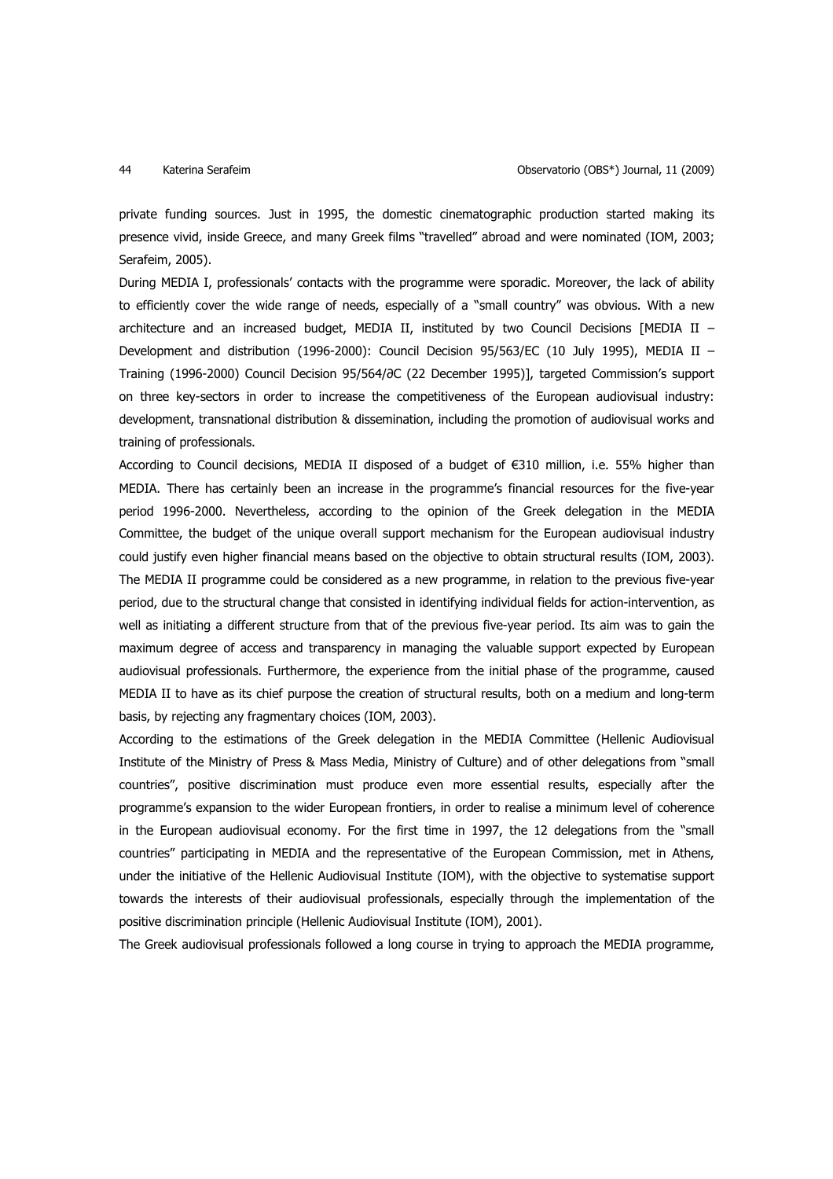private funding sources. Just in 1995, the domestic cinematographic production started making its presence vivid, inside Greece, and many Greek films "travelled" abroad and were nominated (IOM, 2003; Serafeim, 2005).

During MEDIA I, professionals' contacts with the programme were sporadic. Moreover, the lack of ability to efficiently cover the wide range of needs, especially of a "small country" was obvious. With a new architecture and an increased budget, MEDIA II, instituted by two Council Decisions [MEDIA II – Development and distribution (1996-2000): Council Decision 95/563/EC (10 July 1995), MEDIA II – Training (1996-2000) Council Decision 95/564/∂C (22 December 1995)], targeted Commission's support on three key-sectors in order to increase the competitiveness of the European audiovisual industry: development, transnational distribution & dissemination, including the promotion of audiovisual works and training of professionals.

According to Council decisions, MEDIA II disposed of a budget of €310 million, i.e. 55% higher than MEDIA. There has certainly been an increase in the programme's financial resources for the five-year period 1996-2000. Nevertheless, according to the opinion of the Greek delegation in the MEDIA Committee, the budget of the unique overall support mechanism for the European audiovisual industry could justify even higher financial means based on the objective to obtain structural results (IOM, 2003). The MEDIA II programme could be considered as a new programme, in relation to the previous five-year period, due to the structural change that consisted in identifying individual fields for action-intervention, as well as initiating a different structure from that of the previous five-year period. Its aim was to gain the maximum degree of access and transparency in managing the valuable support expected by European audiovisual professionals. Furthermore, the experience from the initial phase of the programme, caused MEDIA II to have as its chief purpose the creation of structural results, both on a medium and long-term basis, by rejecting any fragmentary choices (IOM, 2003).

According to the estimations of the Greek delegation in the MEDIA Committee (Hellenic Audiovisual Institute of the Ministry of Press & Mass Media, Ministry of Culture) and of other delegations from "small countries", positive discrimination must produce even more essential results, especially after the programme's expansion to the wider European frontiers, in order to realise a minimum level of coherence in the European audiovisual economy. For the first time in 1997, the 12 delegations from the "small countries" participating in MEDIA and the representative of the European Commission, met in Athens, under the initiative of the Hellenic Audiovisual Institute (IOM), with the objective to systematise support towards the interests of their audiovisual professionals, especially through the implementation of the positive discrimination principle (Hellenic Audiovisual Institute (IOM), 2001).

The Greek audiovisual professionals followed a long course in trying to approach the MEDIA programme,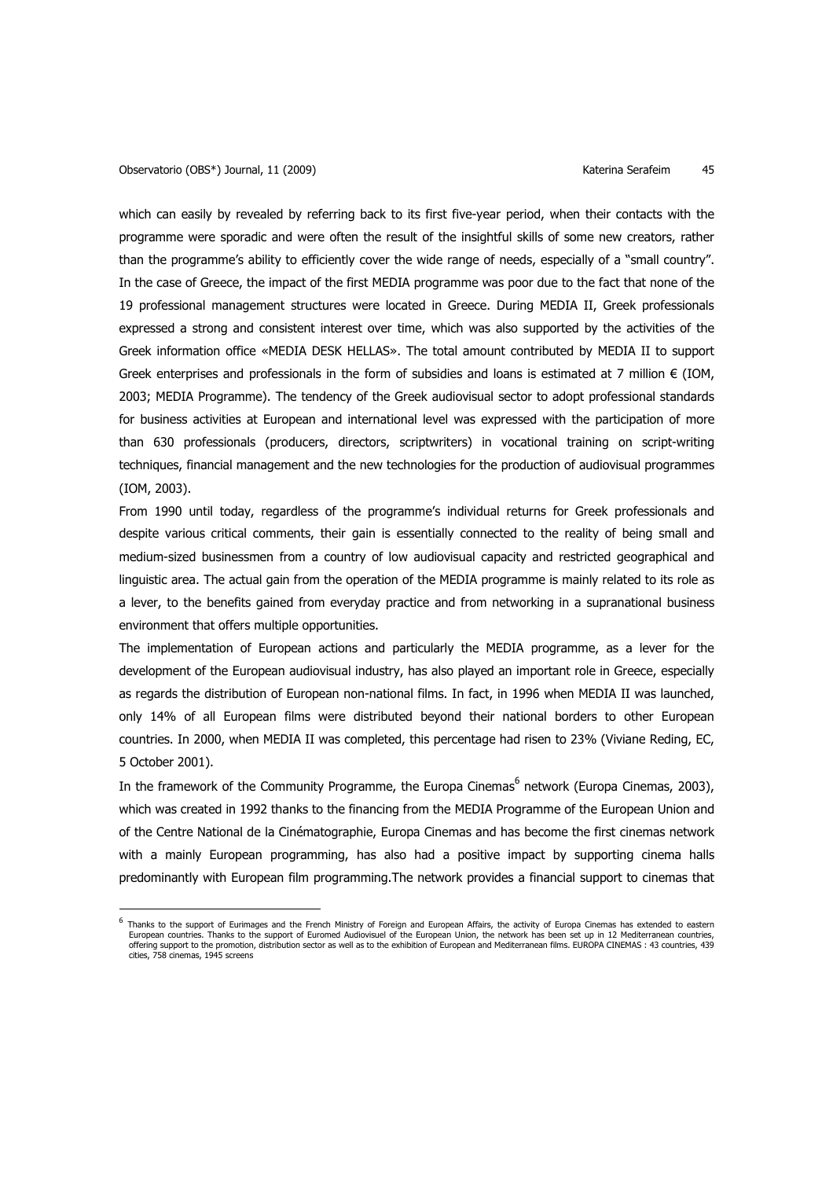$\overline{a}$ 

which can easily by revealed by referring back to its first five-year period, when their contacts with the programme were sporadic and were often the result of the insightful skills of some new creators, rather than the programme's ability to efficiently cover the wide range of needs, especially of a "small country". In the case of Greece, the impact of the first MEDIA programme was poor due to the fact that none of the 19 professional management structures were located in Greece. During MEDIA II, Greek professionals expressed a strong and consistent interest over time, which was also supported by the activities of the Greek information office «MEDIA DESK HELLAS». The total amount contributed by MEDIA II to support Greek enterprises and professionals in the form of subsidies and loans is estimated at 7 million  $\epsilon$  (IOM, 2003; MEDIA Programme). The tendency of the Greek audiovisual sector to adopt professional standards for business activities at European and international level was expressed with the participation of more than 630 professionals (producers, directors, scriptwriters) in vocational training on script-writing techniques, financial management and the new technologies for the production of audiovisual programmes (IOM, 2003).

From 1990 until today, regardless of the programme's individual returns for Greek professionals and despite various critical comments, their gain is essentially connected to the reality of being small and medium-sized businessmen from a country of low audiovisual capacity and restricted geographical and linguistic area. The actual gain from the operation of the MEDIA programme is mainly related to its role as a lever, to the benefits gained from everyday practice and from networking in a supranational business environment that offers multiple opportunities.

The implementation of European actions and particularly the MEDIA programme, as a lever for the development of the European audiovisual industry, has also played an important role in Greece, especially as regards the distribution of European non-national films. In fact, in 1996 when MEDIA II was launched, only 14% of all European films were distributed beyond their national borders to other European countries. In 2000, when MEDIA II was completed, this percentage had risen to 23% (Viviane Reding, EC, 5 October 2001).

In the framework of the Community Programme, the Europa Cinemas<sup>6</sup> network (Europa Cinemas, 2003), which was created in 1992 thanks to the financing from the MEDIA Programme of the European Union and of the Centre National de la Cinématographie, Europa Cinemas and has become the first cinemas network with a mainly European programming, has also had a positive impact by supporting cinema halls predominantly with European film programming.The network provides a financial support to cinemas that

<sup>&</sup>lt;sup>6</sup> Thanks to the support of Eurimages and the French Ministry of Foreign and European Affairs, the activity of Europa Cinemas has extended to eastern European countries. Thanks to the support of Euromed Audiovisuel of the European Union, the network has been set up in 12 Mediterranean countries, offering support to the promotion, distribution sector as well as to the exhibition of European and Mediterranean films. EUROPA CINEMAS : 43 countries, 439 cities, 758 cinemas, 1945 screens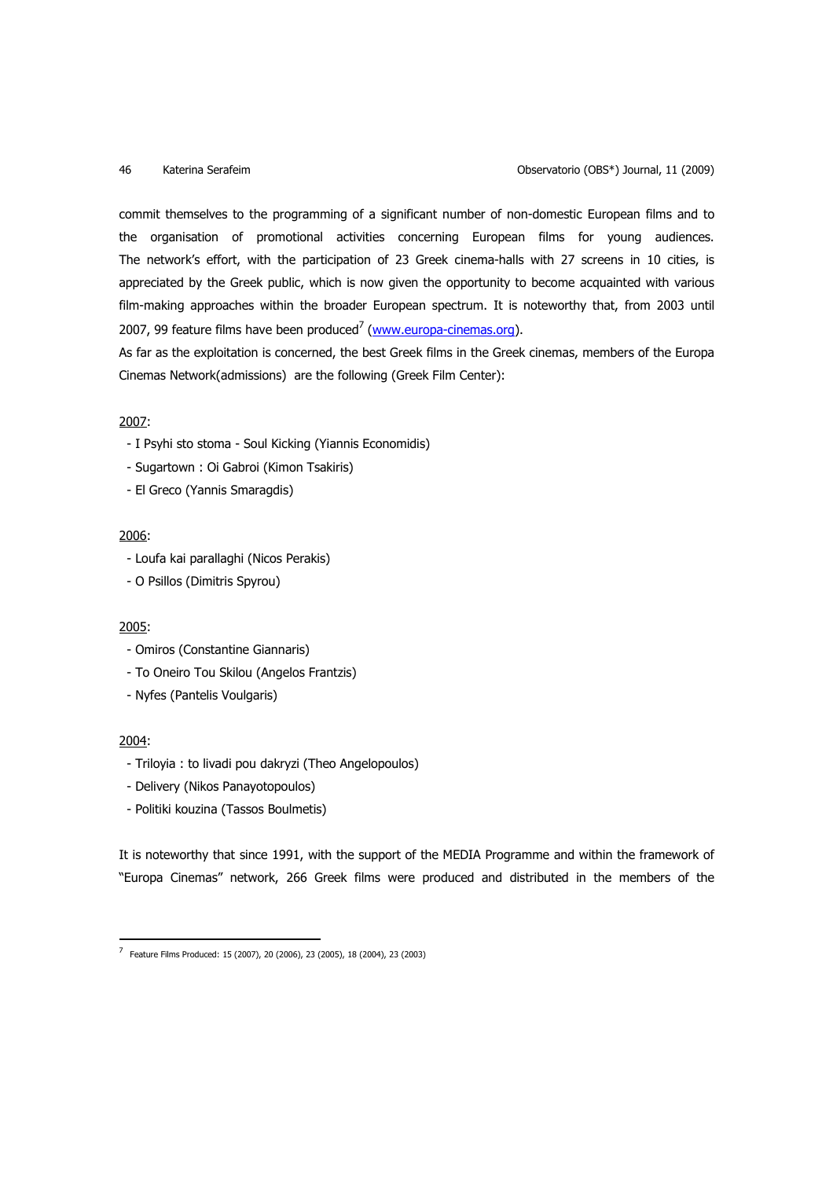commit themselves to the programming of a significant number of non-domestic European films and to the organisation of promotional activities concerning European films for young audiences. The network's effort, with the participation of 23 Greek cinema-halls with 27 screens in 10 cities, is appreciated by the Greek public, which is now given the opportunity to become acquainted with various film-making approaches within the broader European spectrum. It is noteworthy that, from 2003 until 2007, 99 feature films have been produced<sup>7</sup> (www.europa-cinemas.org).

As far as the exploitation is concerned, the best Greek films in the Greek cinemas, members of the Europa Cinemas Network(admissions) are the following (Greek Film Center):

# 2007:

- I Psyhi sto stoma Soul Kicking (Yiannis Economidis)
- Sugartown : Oi Gabroi (Kimon Tsakiris)
- El Greco (Yannis Smaragdis)

# 2006:

- Loufa kai parallaghi (Nicos Perakis)
- O Psillos (Dimitris Spyrou)

### 2005:

- Omiros (Constantine Giannaris)
- To Oneiro Tou Skilou (Angelos Frantzis)
- Nyfes (Pantelis Voulgaris)

### 2004:

 $\overline{a}$ 

- Triloyia : to livadi pou dakryzi (Theo Angelopoulos)
- Delivery (Nikos Panayotopoulos)
- Politiki kouzina (Tassos Boulmetis)

It is noteworthy that since 1991, with the support of the MEDIA Programme and within the framework of "Europa Cinemas" network, 266 Greek films were produced and distributed in the members of the

<sup>7</sup> Feature Films Produced: 15 (2007), 20 (2006), 23 (2005), 18 (2004), 23 (2003)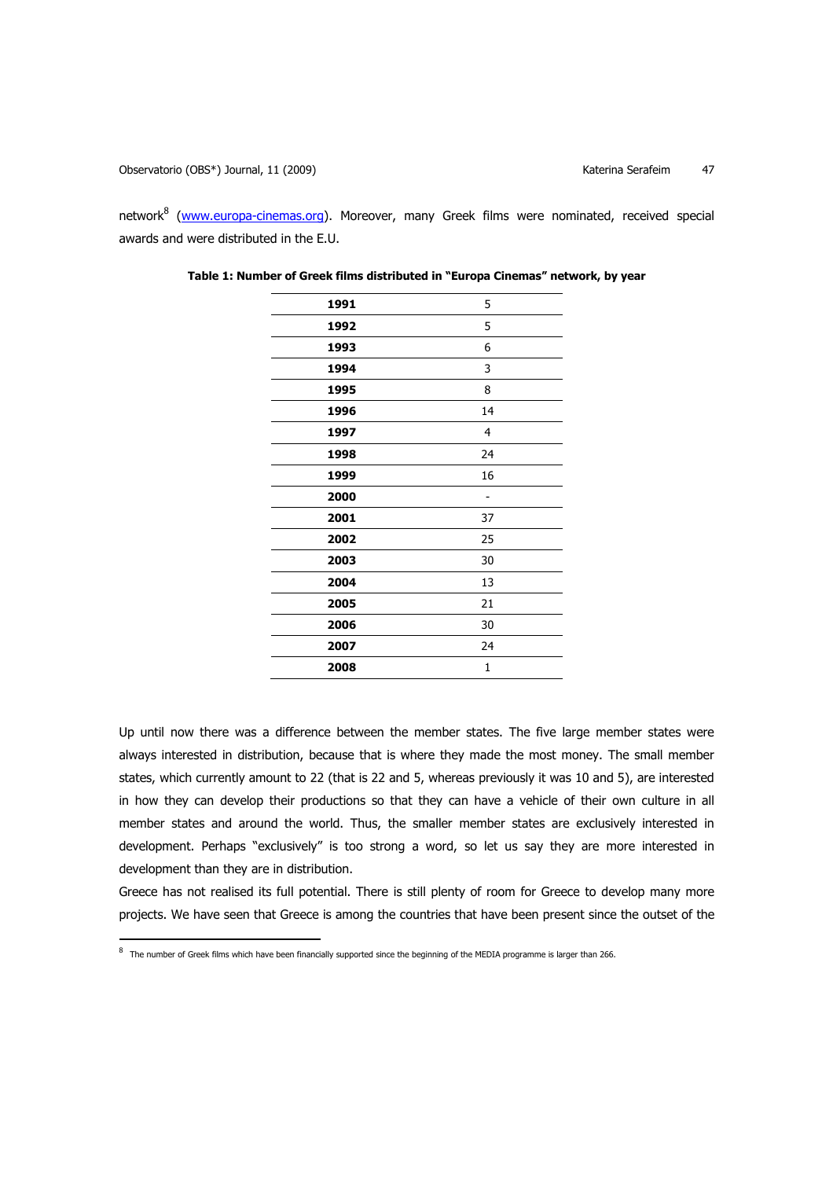$\overline{a}$ 

network<sup>8</sup> (www.europa-cinemas.org). Moreover, many Greek films were nominated, received special awards and were distributed in the E.U.

| 1991 | 5  |
|------|----|
| 1992 | 5  |
| 1993 | 6  |
| 1994 | 3  |
| 1995 | 8  |
| 1996 | 14 |
| 1997 | 4  |
| 1998 | 24 |
| 1999 | 16 |
| 2000 |    |
| 2001 | 37 |
| 2002 | 25 |
| 2003 | 30 |
| 2004 | 13 |
| 2005 | 21 |
| 2006 | 30 |
| 2007 | 24 |
| 2008 | 1  |
|      |    |

**Table 1: Number of Greek films distributed in "Europa Cinemas" network, by year**

Up until now there was a difference between the member states. The five large member states were always interested in distribution, because that is where they made the most money. The small member states, which currently amount to 22 (that is 22 and 5, whereas previously it was 10 and 5), are interested in how they can develop their productions so that they can have a vehicle of their own culture in all member states and around the world. Thus, the smaller member states are exclusively interested in development. Perhaps "exclusively" is too strong a word, so let us say they are more interested in development than they are in distribution.

Greece has not realised its full potential. There is still plenty of room for Greece to develop many more projects. We have seen that Greece is among the countries that have been present since the outset of the

 $^8$  The number of Greek films which have been financially supported since the beginning of the MEDIA programme is larger than 266.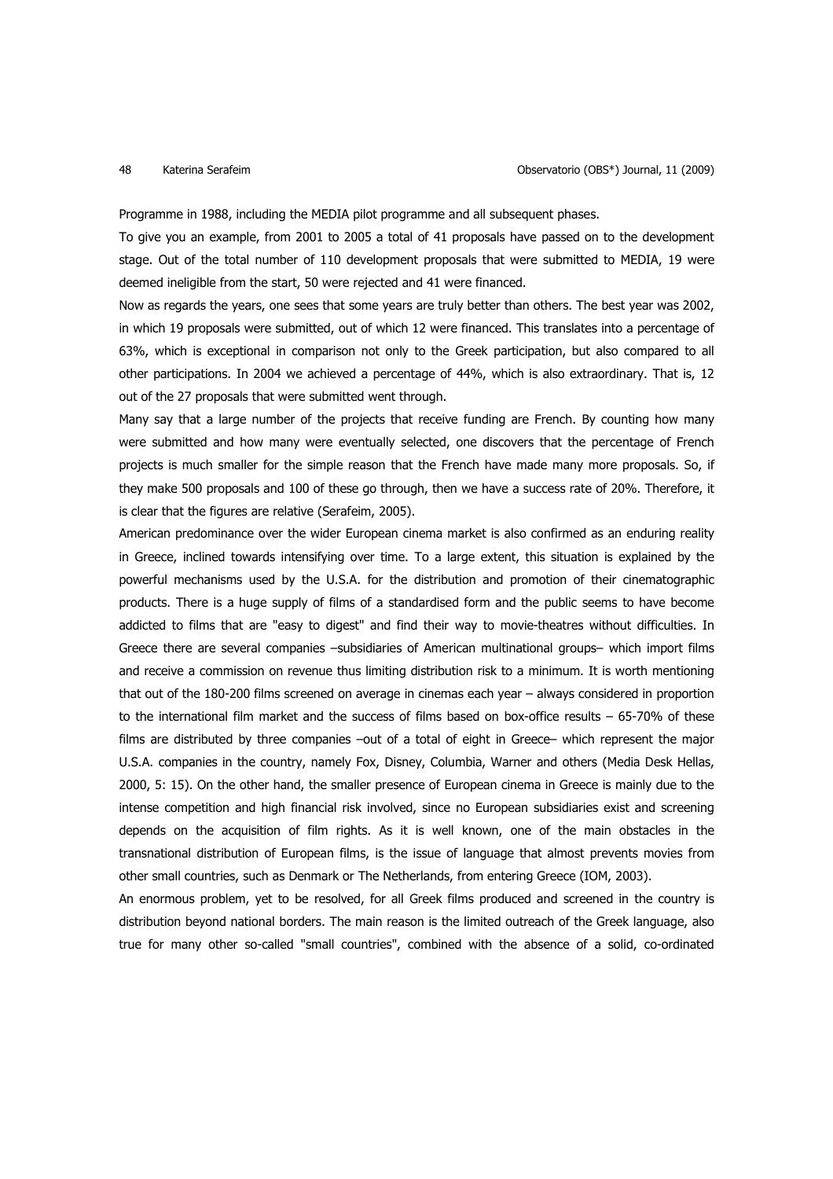Programme in 1988, including the MEDIA pilot programme and all subsequent phases.

To give you an example, from 2001 to 2005 a total of 41 proposals have passed on to the development stage. Out of the total number of 110 development proposals that were submitted to MEDIA, 19 were deemed ineligible from the start, 50 were rejected and 41 were financed.

Now as regards the years, one sees that some years are truly better than others. The best year was 2002, in which 19 proposals were submitted, out of which 12 were financed. This translates into a percentage of 63%, which is exceptional in comparison not only to the Greek participation, but also compared to all other participations. In 2004 we achieved a percentage of 44%, which is also extraordinary. That is, 12 out of the 27 proposals that were submitted went through.

Many say that a large number of the projects that receive funding are French. By counting how many were submitted and how many were eventually selected, one discovers that the percentage of French projects is much smaller for the simple reason that the French have made many more proposals. So, if they make 500 proposals and 100 of these go through, then we have a success rate of 20%. Therefore, it is clear that the figures are relative (Serafeim, 2005).

American predominance over the wider European cinema market is also confirmed as an enduring reality in Greece, inclined towards intensifying over time. To a large extent, this situation is explained by the powerful mechanisms used by the U.S.A. for the distribution and promotion of their cinematographic products. There is a huge supply of films of a standardised form and the public seems to have become addicted to films that are "easy to digest" and find their way to movie-theatres without difficulties. In Greece there are several companies –subsidiaries of American multinational groups– which import films and receive a commission on revenue thus limiting distribution risk to a minimum. It is worth mentioning that out of the 180-200 films screened on average in cinemas each year – always considered in proportion to the international film market and the success of films based on box-office results – 65-70% of these films are distributed by three companies –out of a total of eight in Greece– which represent the major U.S.A. companies in the country, namely Fox, Disney, Columbia, Warner and others (Media Desk Hellas, 2000, 5: 15). On the other hand, the smaller presence of European cinema in Greece is mainly due to the intense competition and high financial risk involved, since no European subsidiaries exist and screening depends on the acquisition of film rights. As it is well known, one of the main obstacles in the transnational distribution of European films, is the issue of language that almost prevents movies from other small countries, such as Denmark or The Netherlands, from entering Greece (IOM, 2003).

An enormous problem, yet to be resolved, for all Greek films produced and screened in the country is distribution beyond national borders. The main reason is the limited outreach of the Greek language, also true for many other so-called "small countries", combined with the absence of a solid, co-ordinated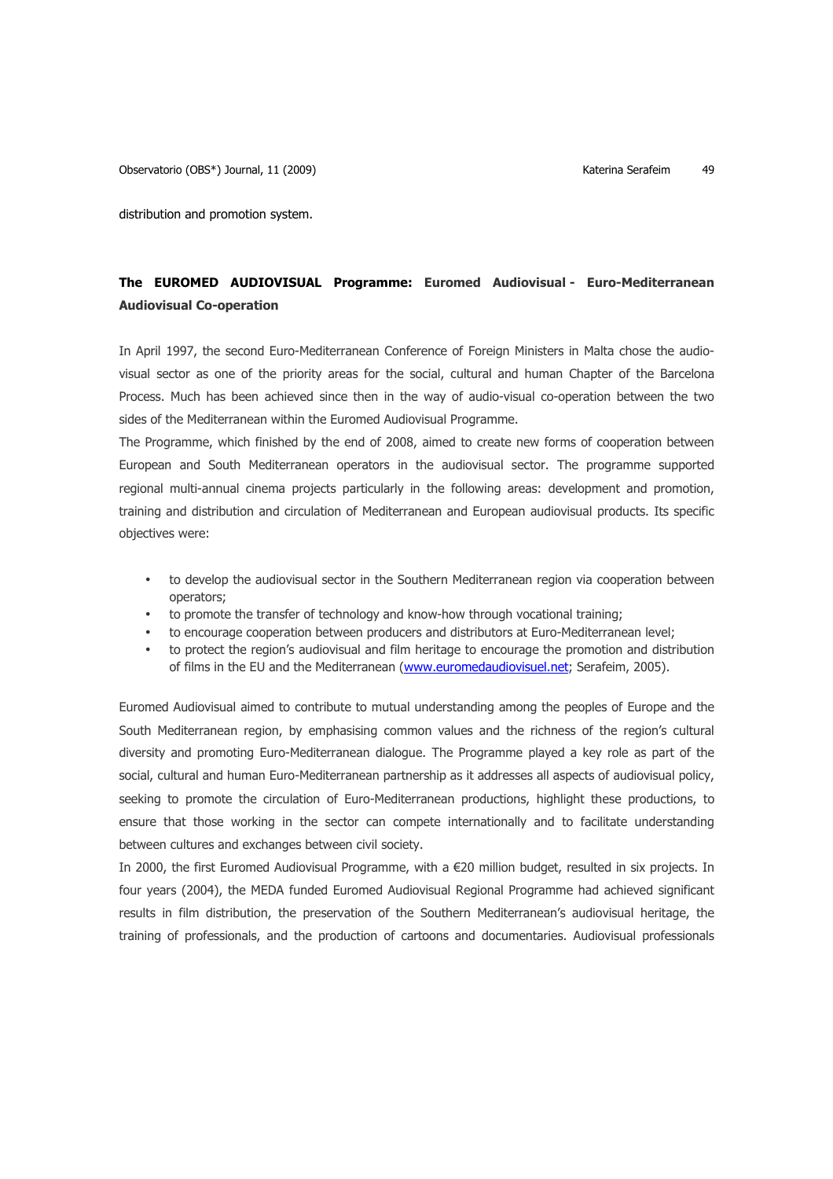distribution and promotion system.

# **The EUROMED AUDIOVISUAL Programme: Euromed Audiovisual - Euro-Mediterranean Audiovisual Co-operation**

In April 1997, the second Euro-Mediterranean Conference of Foreign Ministers in Malta chose the audiovisual sector as one of the priority areas for the social, cultural and human Chapter of the Barcelona Process. Much has been achieved since then in the way of audio-visual co-operation between the two sides of the Mediterranean within the Euromed Audiovisual Programme.

The Programme, which finished by the end of 2008, aimed to create new forms of cooperation between European and South Mediterranean operators in the audiovisual sector. The programme supported regional multi-annual cinema projects particularly in the following areas: development and promotion, training and distribution and circulation of Mediterranean and European audiovisual products. Its specific objectives were:

- to develop the audiovisual sector in the Southern Mediterranean region via cooperation between operators;
- to promote the transfer of technology and know-how through vocational training;
- to encourage cooperation between producers and distributors at Euro-Mediterranean level;
- to protect the region's audiovisual and film heritage to encourage the promotion and distribution of films in the EU and the Mediterranean (www.euromedaudiovisuel.net; Serafeim, 2005).

Euromed Audiovisual aimed to contribute to mutual understanding among the peoples of Europe and the South Mediterranean region, by emphasising common values and the richness of the region's cultural diversity and promoting Euro-Mediterranean dialogue. The Programme played a key role as part of the social, cultural and human Euro-Mediterranean partnership as it addresses all aspects of audiovisual policy, seeking to promote the circulation of Euro-Mediterranean productions, highlight these productions, to ensure that those working in the sector can compete internationally and to facilitate understanding between cultures and exchanges between civil society.

In 2000, the first Euromed Audiovisual Programme, with a €20 million budget, resulted in six projects. In four years (2004), the MEDA funded Euromed Audiovisual Regional Programme had achieved significant results in film distribution, the preservation of the Southern Mediterranean's audiovisual heritage, the training of professionals, and the production of cartoons and documentaries. Audiovisual professionals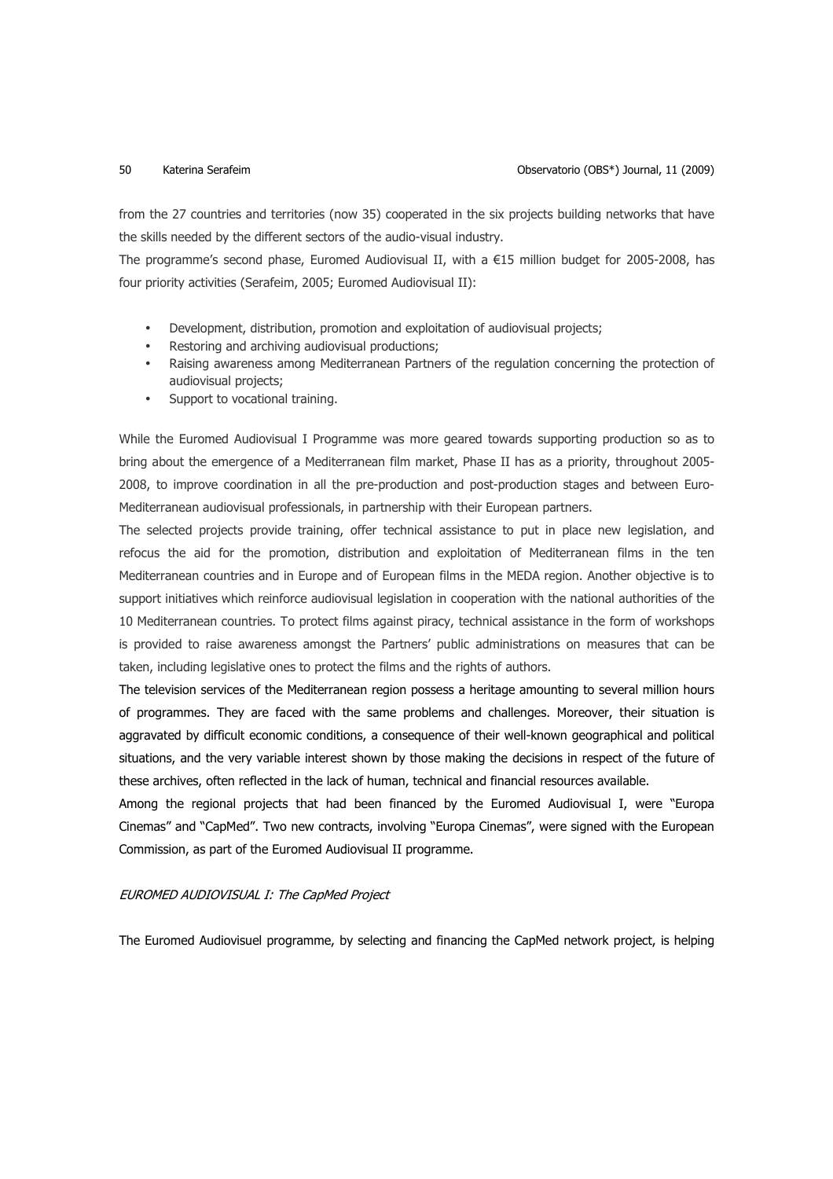from the 27 countries and territories (now 35) cooperated in the six projects building networks that have the skills needed by the different sectors of the audio-visual industry.

The programme's second phase, Euromed Audiovisual II, with a  $E15$  million budget for 2005-2008, has four priority activities (Serafeim, 2005; Euromed Audiovisual II):

- Development, distribution, promotion and exploitation of audiovisual projects;
- Restoring and archiving audiovisual productions;
- Raising awareness among Mediterranean Partners of the regulation concerning the protection of audiovisual projects;
- Support to vocational training.

While the Euromed Audiovisual I Programme was more geared towards supporting production so as to bring about the emergence of a Mediterranean film market, Phase II has as a priority, throughout 2005- 2008, to improve coordination in all the pre-production and post-production stages and between Euro-Mediterranean audiovisual professionals, in partnership with their European partners.

The selected projects provide training, offer technical assistance to put in place new legislation, and refocus the aid for the promotion, distribution and exploitation of Mediterranean films in the ten Mediterranean countries and in Europe and of European films in the MEDA region. Another objective is to support initiatives which reinforce audiovisual legislation in cooperation with the national authorities of the 10 Mediterranean countries. To protect films against piracy, technical assistance in the form of workshops is provided to raise awareness amongst the Partners' public administrations on measures that can be taken, including legislative ones to protect the films and the rights of authors.

The television services of the Mediterranean region possess a heritage amounting to several million hours of programmes. They are faced with the same problems and challenges. Moreover, their situation is aggravated by difficult economic conditions, a consequence of their well-known geographical and political situations, and the very variable interest shown by those making the decisions in respect of the future of these archives, often reflected in the lack of human, technical and financial resources available.

Among the regional projects that had been financed by the Euromed Audiovisual I, were "Europa Cinemas" and "CapMed". Two new contracts, involving "Europa Cinemas", were signed with the European Commission, as part of the Euromed Audiovisual II programme.

### EUROMED AUDIOVISUAL I: The CapMed Project

The Euromed Audiovisuel programme, by selecting and financing the CapMed network project, is helping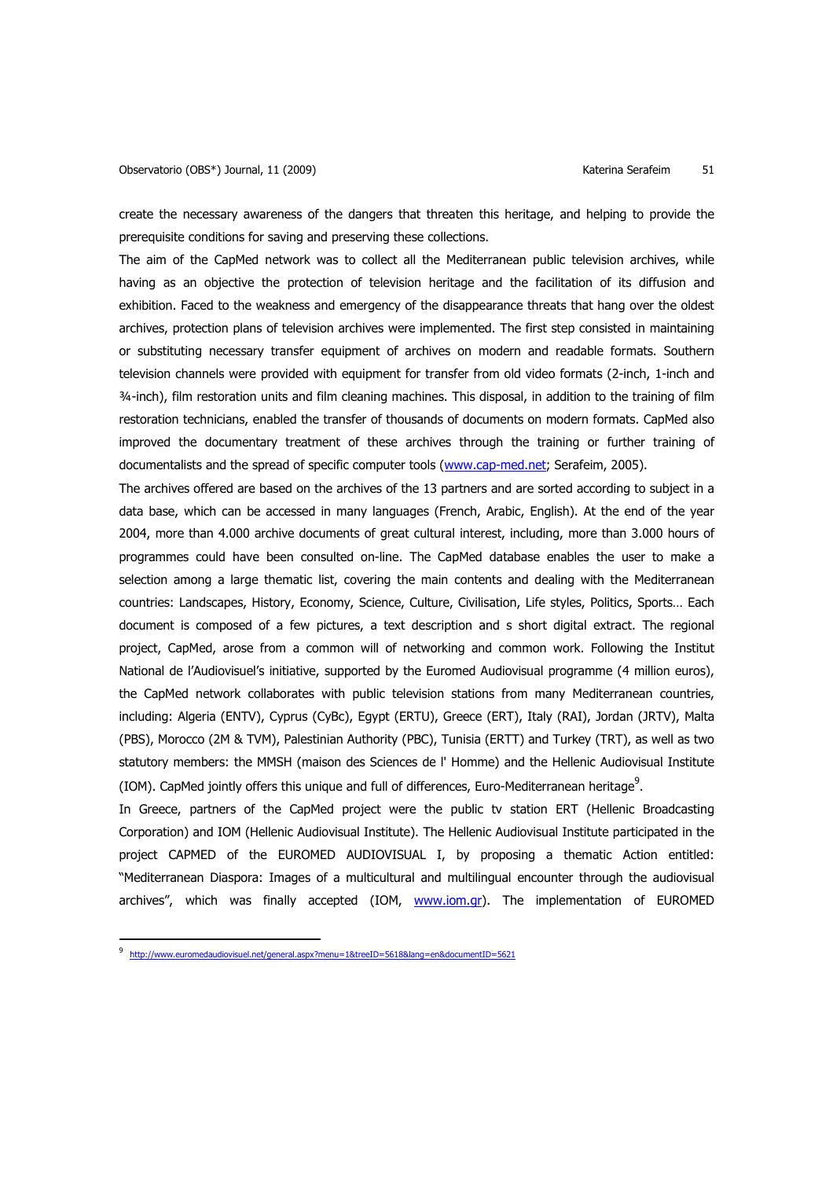create the necessary awareness of the dangers that threaten this heritage, and helping to provide the prerequisite conditions for saving and preserving these collections.

The aim of the CapMed network was to collect all the Mediterranean public television archives, while having as an objective the protection of television heritage and the facilitation of its diffusion and exhibition. Faced to the weakness and emergency of the disappearance threats that hang over the oldest archives, protection plans of television archives were implemented. The first step consisted in maintaining or substituting necessary transfer equipment of archives on modern and readable formats. Southern television channels were provided with equipment for transfer from old video formats (2-inch, 1-inch and ¾-inch), film restoration units and film cleaning machines. This disposal, in addition to the training of film restoration technicians, enabled the transfer of thousands of documents on modern formats. CapMed also improved the documentary treatment of these archives through the training or further training of documentalists and the spread of specific computer tools (www.cap-med.net; Serafeim, 2005).

The archives offered are based on the archives of the 13 partners and are sorted according to subject in a data base, which can be accessed in many languages (French, Arabic, English). At the end of the year 2004, more than 4.000 archive documents of great cultural interest, including, more than 3.000 hours of programmes could have been consulted on-line. The CapMed database enables the user to make a selection among a large thematic list, covering the main contents and dealing with the Mediterranean countries: Landscapes, History, Economy, Science, Culture, Civilisation, Life styles, Politics, Sports… Each document is composed of a few pictures, a text description and s short digital extract. The regional project, CapMed, arose from a common will of networking and common work. Following the Institut National de l'Audiovisuel's initiative, supported by the Euromed Audiovisual programme (4 million euros), the CapMed network collaborates with public television stations from many Mediterranean countries, including: Algeria (ENTV), Cyprus (CyBc), Egypt (ERTU), Greece (ERT), Italy (RAI), Jordan (JRTV), Malta (PBS), Morocco (2M & TVM), Palestinian Authority (PBC), Tunisia (ERTT) and Turkey (TRT), as well as two statutory members: the MMSH (maison des Sciences de l' Homme) and the Hellenic Audiovisual Institute (IOM). CapMed jointly offers this unique and full of differences, Euro-Mediterranean heritage $9$ .

In Greece, partners of the CapMed project were the public tv station ERT (Hellenic Broadcasting Corporation) and IOM (Hellenic Audiovisual Institute). The Hellenic Audiovisual Institute participated in the project CAPMED of the EUROMED AUDIOVISUAL I, by proposing a thematic Action entitled: "Mediterranean Diaspora: Images of a multicultural and multilingual encounter through the audiovisual archives", which was finally accepted (IOM, www.iom.gr). The implementation of EUROMED

 $\overline{a}$ 

<sup>9</sup> http://www.euromedaudiovisuel.net/general.aspx?menu=1&treeID=5618&lang=en&documentID=5621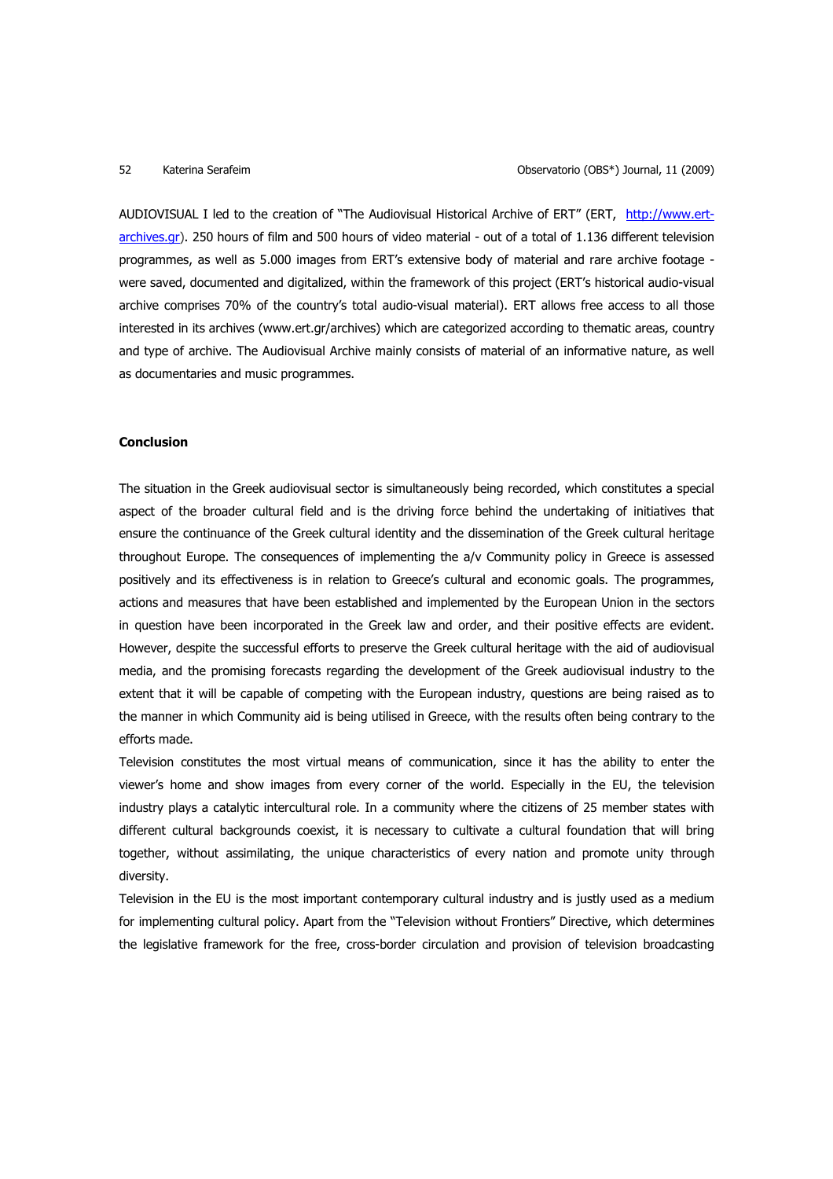AUDIOVISUAL I led to the creation of "The Audiovisual Historical Archive of ERT" (ERT, http://www.ertarchives.gr). 250 hours of film and 500 hours of video material - out of a total of 1.136 different television programmes, as well as 5.000 images from ERT's extensive body of material and rare archive footage were saved, documented and digitalized, within the framework of this project (ERT's historical audio-visual archive comprises 70% of the country's total audio-visual material). ERT allows free access to all those interested in its archives (www.ert.gr/archives) which are categorized according to thematic areas, country and type of archive. The Audiovisual Archive mainly consists of material of an informative nature, as well as documentaries and music programmes.

### **Conclusion**

The situation in the Greek audiovisual sector is simultaneously being recorded, which constitutes a special aspect of the broader cultural field and is the driving force behind the undertaking of initiatives that ensure the continuance of the Greek cultural identity and the dissemination of the Greek cultural heritage throughout Europe. The consequences of implementing the a/v Community policy in Greece is assessed positively and its effectiveness is in relation to Greece's cultural and economic goals. The programmes, actions and measures that have been established and implemented by the European Union in the sectors in question have been incorporated in the Greek law and order, and their positive effects are evident. However, despite the successful efforts to preserve the Greek cultural heritage with the aid of audiovisual media, and the promising forecasts regarding the development of the Greek audiovisual industry to the extent that it will be capable of competing with the European industry, questions are being raised as to the manner in which Community aid is being utilised in Greece, with the results often being contrary to the efforts made.

Television constitutes the most virtual means of communication, since it has the ability to enter the viewer's home and show images from every corner of the world. Especially in the EU, the television industry plays a catalytic intercultural role. In a community where the citizens of 25 member states with different cultural backgrounds coexist, it is necessary to cultivate a cultural foundation that will bring together, without assimilating, the unique characteristics of every nation and promote unity through diversity.

Television in the EU is the most important contemporary cultural industry and is justly used as a medium for implementing cultural policy. Apart from the "Television without Frontiers" Directive, which determines the legislative framework for the free, cross-border circulation and provision of television broadcasting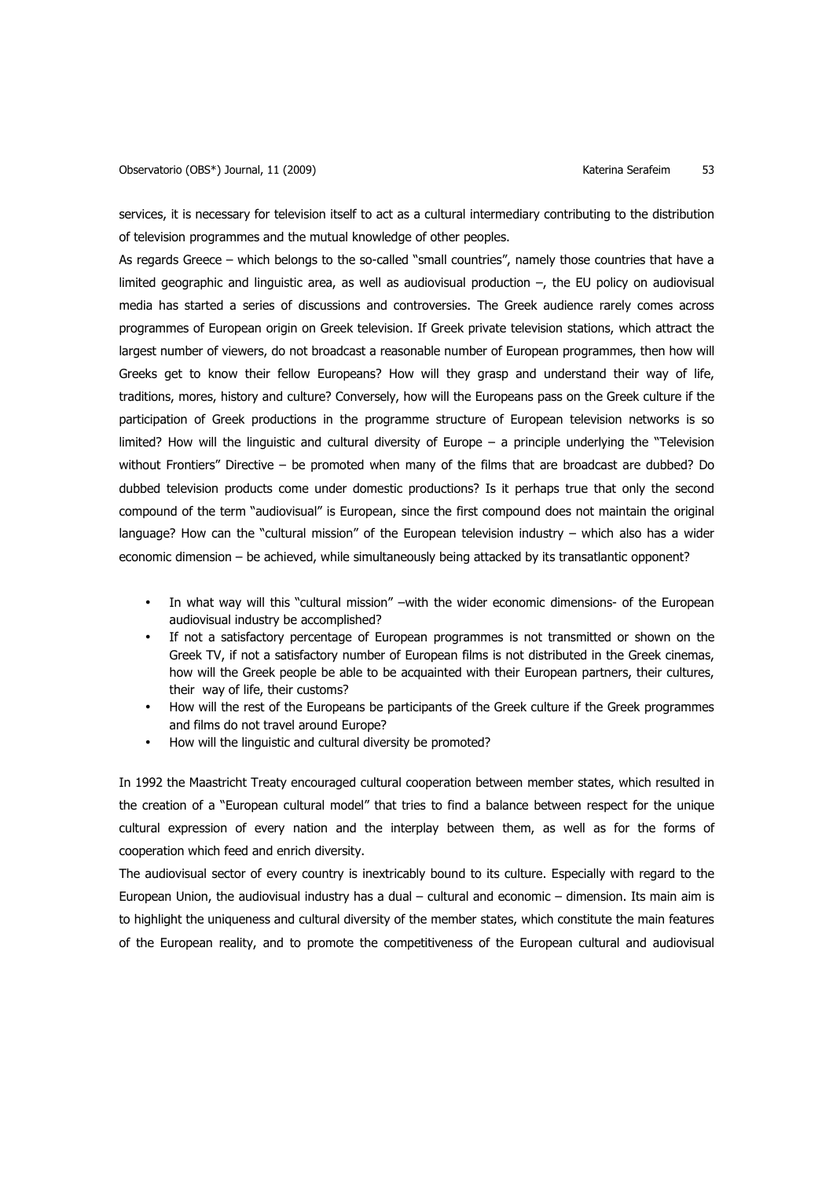services, it is necessary for television itself to act as a cultural intermediary contributing to the distribution of television programmes and the mutual knowledge of other peoples.

As regards Greece – which belongs to the so-called "small countries", namely those countries that have a limited geographic and linguistic area, as well as audiovisual production –, the EU policy on audiovisual media has started a series of discussions and controversies. The Greek audience rarely comes across programmes of European origin on Greek television. If Greek private television stations, which attract the largest number of viewers, do not broadcast a reasonable number of European programmes, then how will Greeks get to know their fellow Europeans? How will they grasp and understand their way of life, traditions, mores, history and culture? Conversely, how will the Europeans pass on the Greek culture if the participation of Greek productions in the programme structure of European television networks is so limited? How will the linguistic and cultural diversity of Europe – a principle underlying the "Television without Frontiers" Directive – be promoted when many of the films that are broadcast are dubbed? Do dubbed television products come under domestic productions? Is it perhaps true that only the second compound of the term "audiovisual" is European, since the first compound does not maintain the original language? How can the "cultural mission" of the European television industry – which also has a wider economic dimension – be achieved, while simultaneously being attacked by its transatlantic opponent?

- In what way will this "cultural mission" –with the wider economic dimensions- of the European audiovisual industry be accomplished?
- If not a satisfactory percentage of European programmes is not transmitted or shown on the Greek TV, if not a satisfactory number of European films is not distributed in the Greek cinemas, how will the Greek people be able to be acquainted with their European partners, their cultures, their way of life, their customs?
- How will the rest of the Europeans be participants of the Greek culture if the Greek programmes and films do not travel around Europe?
- How will the linguistic and cultural diversity be promoted?

In 1992 the Maastricht Treaty encouraged cultural cooperation between member states, which resulted in the creation of a "European cultural model" that tries to find a balance between respect for the unique cultural expression of every nation and the interplay between them, as well as for the forms of cooperation which feed and enrich diversity.

The audiovisual sector of every country is inextricably bound to its culture. Especially with regard to the European Union, the audiovisual industry has a dual – cultural and economic – dimension. Its main aim is to highlight the uniqueness and cultural diversity of the member states, which constitute the main features of the European reality, and to promote the competitiveness of the European cultural and audiovisual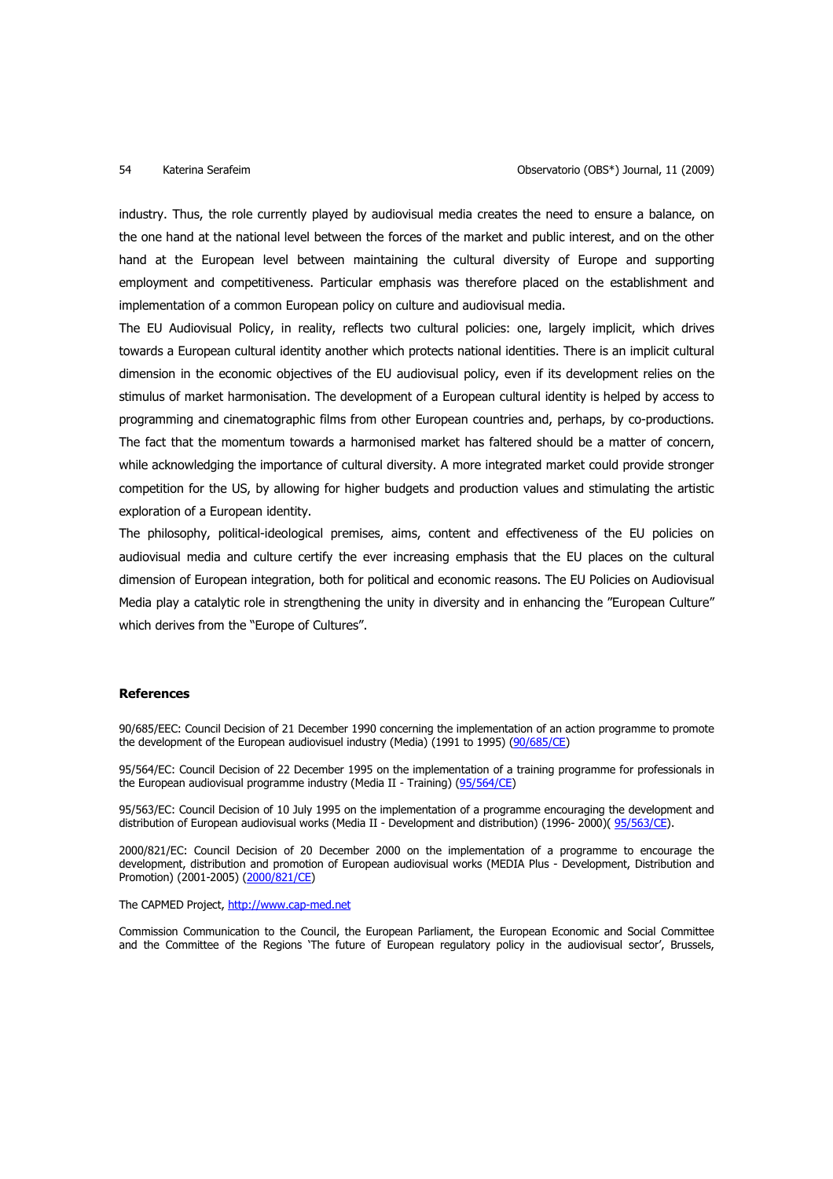industry. Thus, the role currently played by audiovisual media creates the need to ensure a balance, on the one hand at the national level between the forces of the market and public interest, and on the other hand at the European level between maintaining the cultural diversity of Europe and supporting employment and competitiveness. Particular emphasis was therefore placed on the establishment and implementation of a common European policy on culture and audiovisual media.

The EU Audiovisual Policy, in reality, reflects two cultural policies: one, largely implicit, which drives towards a European cultural identity another which protects national identities. There is an implicit cultural dimension in the economic objectives of the EU audiovisual policy, even if its development relies on the stimulus of market harmonisation. The development of a European cultural identity is helped by access to programming and cinematographic films from other European countries and, perhaps, by co-productions. The fact that the momentum towards a harmonised market has faltered should be a matter of concern, while acknowledging the importance of cultural diversity. A more integrated market could provide stronger competition for the US, by allowing for higher budgets and production values and stimulating the artistic exploration of a European identity.

The philosophy, political-ideological premises, aims, content and effectiveness of the EU policies on audiovisual media and culture certify the ever increasing emphasis that the EU places on the cultural dimension of European integration, both for political and economic reasons. The EU Policies on Audiovisual Media play a catalytic role in strengthening the unity in diversity and in enhancing the "European Culture" which derives from the "Europe of Cultures".

### **References**

90/685/EEC: Council Decision of 21 December 1990 concerning the implementation of an action programme to promote the development of the European audiovisuel industry (Media) (1991 to 1995) (90/685/CE)

95/564/EC: Council Decision of 22 December 1995 on the implementation of a training programme for professionals in the European audiovisual programme industry (Media II - Training) (95/564/CE)

95/563/EC: Council Decision of 10 July 1995 on the implementation of a programme encouraging the development and distribution of European audiovisual works (Media II - Development and distribution) (1996- 2000)( 95/563/CE).

2000/821/EC: Council Decision of 20 December 2000 on the implementation of a programme to encourage the development, distribution and promotion of European audiovisual works (MEDIA Plus - Development, Distribution and Promotion) (2001-2005) (2000/821/CE)

The CAPMED Project, http://www.cap-med.net

Commission Communication to the Council, the European Parliament, the European Economic and Social Committee and the Committee of the Regions 'The future of European regulatory policy in the audiovisual sector', Brussels,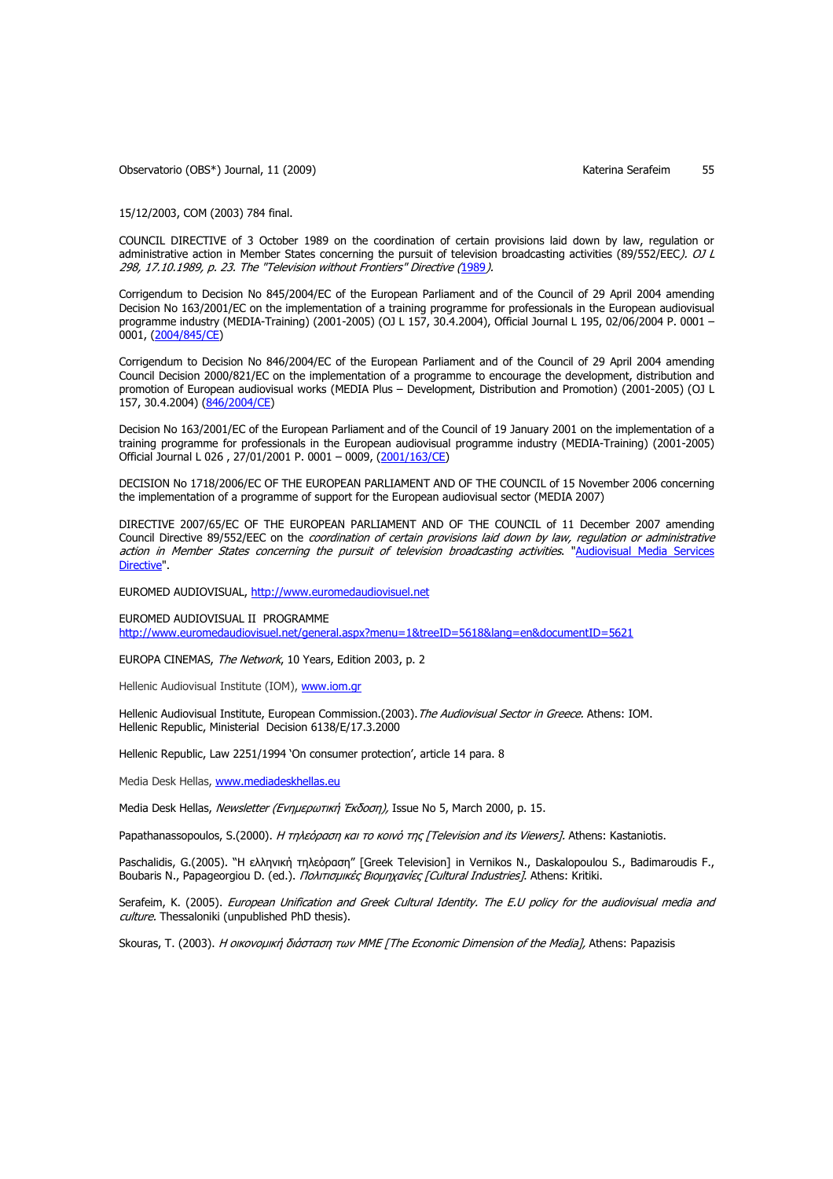Observatorio (OBS\*) Journal, 11 (2009) Charles Controller Materia Serafeim 55

15/12/2003, COM (2003) 784 final.

COUNCIL DIRECTIVE of 3 October 1989 on the coordination of certain provisions laid down by law, regulation or administrative action in Member States concerning the pursuit of television broadcasting activities (89/552/EEC). OJ L 298, 17.10.1989, p. 23. The "Television without Frontiers" Directive (1989).

Corrigendum to Decision No 845/2004/EC of the European Parliament and of the Council of 29 April 2004 amending Decision No 163/2001/EC on the implementation of a training programme for professionals in the European audiovisual programme industry (MEDIA-Training) (2001-2005) (OJ L 157, 30.4.2004), Official Journal L 195, 02/06/2004 P. 0001 – 0001, (2004/845/CE)

Corrigendum to Decision No 846/2004/EC of the European Parliament and of the Council of 29 April 2004 amending Council Decision 2000/821/EC on the implementation of a programme to encourage the development, distribution and promotion of European audiovisual works (MEDIA Plus – Development, Distribution and Promotion) (2001-2005) (OJ L 157, 30.4.2004) (846/2004/CE)

Decision No 163/2001/EC of the European Parliament and of the Council of 19 January 2001 on the implementation of a training programme for professionals in the European audiovisual programme industry (MEDIA-Training) (2001-2005) Official Journal L 026 , 27/01/2001 P. 0001 – 0009, (2001/163/CE)

DECISION No 1718/2006/EC OF THE EUROPEAN PARLIAMENT AND OF THE COUNCIL of 15 November 2006 concerning the implementation of a programme of support for the European audiovisual sector (MEDIA 2007)

DIRECTIVE 2007/65/EC OF THE EUROPEAN PARLIAMENT AND OF THE COUNCIL of 11 December 2007 amending Council Directive 89/552/EEC on the coordination of certain provisions laid down by law, regulation or administrative action in Member States concerning the pursuit of television broadcasting activities. "Audiovisual Media Services Directive".

EUROMED AUDIOVISUAL, http://www.euromedaudiovisuel.net

EUROMED AUDIOVISUAL II PROGRAMME http://www.euromedaudiovisuel.net/general.aspx?menu=1&treeID=5618&lang=en&documentID=5621

EUROPA CINEMAS, The Network, 10 Years, Edition 2003, p. 2

Hellenic Audiovisual Institute (IOM), www.iom.gr

Hellenic Audiovisual Institute, European Commission.(2003). The Audiovisual Sector in Greece. Athens: IOM. Hellenic Republic, Ministerial Decision 6138/E/17.3.2000

Hellenic Republic, Law 2251/1994 'On consumer protection', article 14 para. 8

Media Desk Hellas, www.mediadeskhellas.eu

Media Desk Hellas, Newsletter (Ενηµερωτική Έκδοση), Issue No 5, March 2000, p. 15.

Papathanassopoulos, S.(2000). Η τηλεόραση και το κοινό της [Television and its Viewers]. Athens: Kastaniotis.

Paschalidis, G.(2005). "Η ελληνική τηλεόραση" [Greek Television] in Vernikos N., Daskalopoulou S., Badimaroudis F., Boubaris N., Papageorgiou D. (ed.). Πολιτισμικές Βιομηχανίες [Cultural Industries]. Athens: Kritiki.

Serafeim, K. (2005). European Unification and Greek Cultural Identity. The E.U policy for the audiovisual media and culture. Thessaloniki (unpublished PhD thesis).

Skouras, Τ. (2003). Η οικονομική διάσταση των ΜΜΕ [The Economic Dimension of the Media], Athens: Papazisis